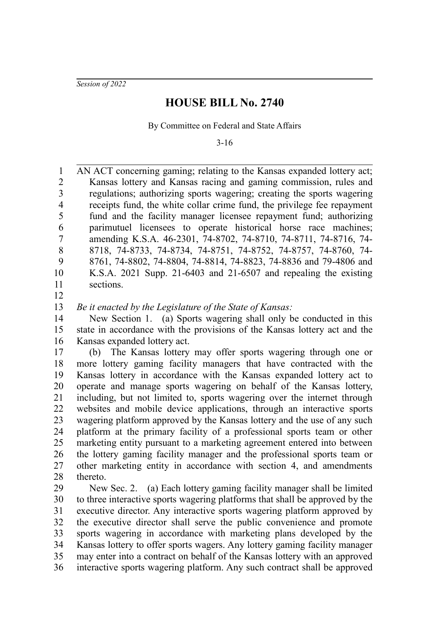*Session of 2022*

## **HOUSE BILL No. 2740**

By Committee on Federal and State Affairs

3-16

AN ACT concerning gaming; relating to the Kansas expanded lottery act; Kansas lottery and Kansas racing and gaming commission, rules and regulations; authorizing sports wagering; creating the sports wagering receipts fund, the white collar crime fund, the privilege fee repayment fund and the facility manager licensee repayment fund; authorizing parimutuel licensees to operate historical horse race machines; amending K.S.A. 46-2301, 74-8702, 74-8710, 74-8711, 74-8716, 74- 8718, 74-8733, 74-8734, 74-8751, 74-8752, 74-8757, 74-8760, 74- 8761, 74-8802, 74-8804, 74-8814, 74-8823, 74-8836 and 79-4806 and K.S.A. 2021 Supp. 21-6403 and 21-6507 and repealing the existing sections. 1 2 3 4 5 6 7 8 9 10 11

12

*Be it enacted by the Legislature of the State of Kansas:* 13

New Section 1. (a) Sports wagering shall only be conducted in this state in accordance with the provisions of the Kansas lottery act and the Kansas expanded lottery act. 14 15 16

(b) The Kansas lottery may offer sports wagering through one or more lottery gaming facility managers that have contracted with the Kansas lottery in accordance with the Kansas expanded lottery act to operate and manage sports wagering on behalf of the Kansas lottery, including, but not limited to, sports wagering over the internet through websites and mobile device applications, through an interactive sports wagering platform approved by the Kansas lottery and the use of any such platform at the primary facility of a professional sports team or other marketing entity pursuant to a marketing agreement entered into between the lottery gaming facility manager and the professional sports team or other marketing entity in accordance with section 4, and amendments thereto. 17 18 19 20 21 22 23 24 25 26 27 28

New Sec. 2. (a) Each lottery gaming facility manager shall be limited to three interactive sports wagering platforms that shall be approved by the executive director. Any interactive sports wagering platform approved by the executive director shall serve the public convenience and promote sports wagering in accordance with marketing plans developed by the Kansas lottery to offer sports wagers. Any lottery gaming facility manager may enter into a contract on behalf of the Kansas lottery with an approved interactive sports wagering platform. Any such contract shall be approved 29 30 31 32 33 34 35 36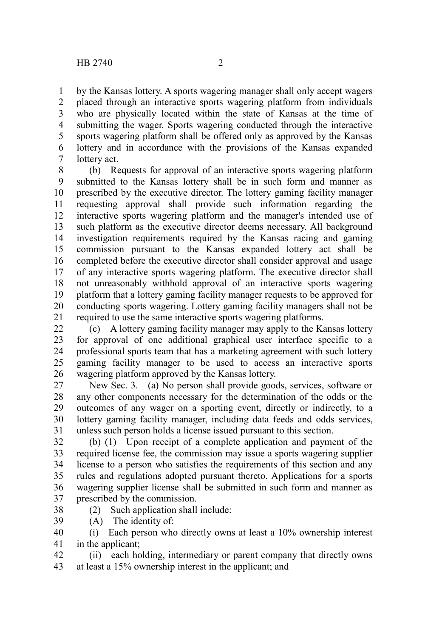by the Kansas lottery. A sports wagering manager shall only accept wagers placed through an interactive sports wagering platform from individuals who are physically located within the state of Kansas at the time of submitting the wager. Sports wagering conducted through the interactive sports wagering platform shall be offered only as approved by the Kansas lottery and in accordance with the provisions of the Kansas expanded lottery act. 1 2 3 4 5 6 7

(b) Requests for approval of an interactive sports wagering platform submitted to the Kansas lottery shall be in such form and manner as prescribed by the executive director. The lottery gaming facility manager requesting approval shall provide such information regarding the interactive sports wagering platform and the manager's intended use of such platform as the executive director deems necessary. All background investigation requirements required by the Kansas racing and gaming commission pursuant to the Kansas expanded lottery act shall be completed before the executive director shall consider approval and usage of any interactive sports wagering platform. The executive director shall not unreasonably withhold approval of an interactive sports wagering platform that a lottery gaming facility manager requests to be approved for conducting sports wagering. Lottery gaming facility managers shall not be required to use the same interactive sports wagering platforms. 8 9 10 11 12 13 14 15 16 17 18 19 20 21

(c) A lottery gaming facility manager may apply to the Kansas lottery for approval of one additional graphical user interface specific to a professional sports team that has a marketing agreement with such lottery gaming facility manager to be used to access an interactive sports wagering platform approved by the Kansas lottery. 22 23 24 25 26

New Sec. 3. (a) No person shall provide goods, services, software or any other components necessary for the determination of the odds or the outcomes of any wager on a sporting event, directly or indirectly, to a lottery gaming facility manager, including data feeds and odds services, unless such person holds a license issued pursuant to this section. 27 28 29 30 31

(b) (1) Upon receipt of a complete application and payment of the required license fee, the commission may issue a sports wagering supplier license to a person who satisfies the requirements of this section and any rules and regulations adopted pursuant thereto. Applications for a sports wagering supplier license shall be submitted in such form and manner as prescribed by the commission. 32 33 34 35 36 37

38

39

(2) Such application shall include: (A) The identity of:

(i) Each person who directly owns at least a 10% ownership interest in the applicant; 40 41

(ii) each holding, intermediary or parent company that directly owns at least a 15% ownership interest in the applicant; and 42 43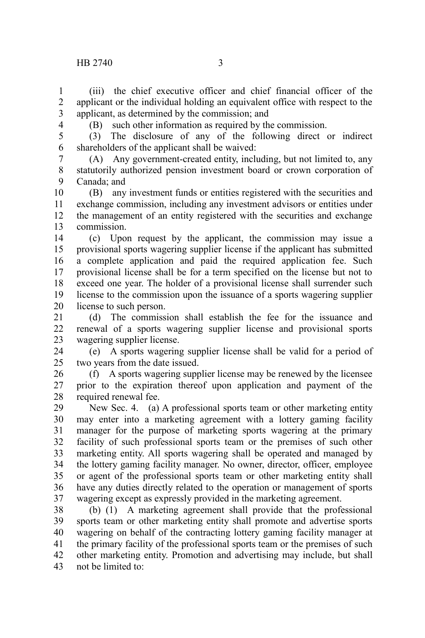(iii) the chief executive officer and chief financial officer of the applicant or the individual holding an equivalent office with respect to the applicant, as determined by the commission; and 1 2 3

4

(B) such other information as required by the commission.

(3) The disclosure of any of the following direct or indirect shareholders of the applicant shall be waived: 5 6

(A) Any government-created entity, including, but not limited to, any statutorily authorized pension investment board or crown corporation of Canada; and 7 8 9

(B) any investment funds or entities registered with the securities and exchange commission, including any investment advisors or entities under the management of an entity registered with the securities and exchange commission. 10 11 12 13

(c) Upon request by the applicant, the commission may issue a provisional sports wagering supplier license if the applicant has submitted a complete application and paid the required application fee. Such provisional license shall be for a term specified on the license but not to exceed one year. The holder of a provisional license shall surrender such license to the commission upon the issuance of a sports wagering supplier license to such person. 14 15 16 17 18 19 20

(d) The commission shall establish the fee for the issuance and renewal of a sports wagering supplier license and provisional sports wagering supplier license. 21 22 23

(e) A sports wagering supplier license shall be valid for a period of two years from the date issued. 24 25

(f) A sports wagering supplier license may be renewed by the licensee prior to the expiration thereof upon application and payment of the required renewal fee. 26 27 28

New Sec. 4. (a) A professional sports team or other marketing entity may enter into a marketing agreement with a lottery gaming facility manager for the purpose of marketing sports wagering at the primary facility of such professional sports team or the premises of such other marketing entity. All sports wagering shall be operated and managed by the lottery gaming facility manager. No owner, director, officer, employee or agent of the professional sports team or other marketing entity shall have any duties directly related to the operation or management of sports wagering except as expressly provided in the marketing agreement. 29 30 31 32 33 34 35 36 37

(b) (1) A marketing agreement shall provide that the professional sports team or other marketing entity shall promote and advertise sports wagering on behalf of the contracting lottery gaming facility manager at the primary facility of the professional sports team or the premises of such other marketing entity. Promotion and advertising may include, but shall not be limited to: 38 39 40 41 42 43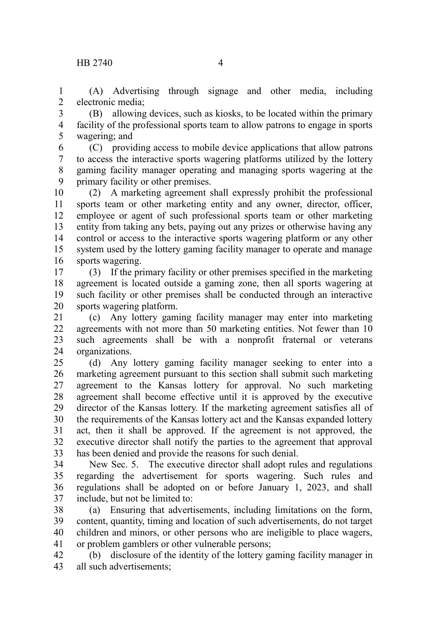(A) Advertising through signage and other media, including electronic media; 1 2

(B) allowing devices, such as kiosks, to be located within the primary facility of the professional sports team to allow patrons to engage in sports wagering; and 3 4 5

(C) providing access to mobile device applications that allow patrons to access the interactive sports wagering platforms utilized by the lottery gaming facility manager operating and managing sports wagering at the primary facility or other premises. 6 7 8 9

(2) A marketing agreement shall expressly prohibit the professional sports team or other marketing entity and any owner, director, officer, employee or agent of such professional sports team or other marketing entity from taking any bets, paying out any prizes or otherwise having any control or access to the interactive sports wagering platform or any other system used by the lottery gaming facility manager to operate and manage sports wagering. 10 11 12 13 14 15 16

(3) If the primary facility or other premises specified in the marketing agreement is located outside a gaming zone, then all sports wagering at such facility or other premises shall be conducted through an interactive sports wagering platform. 17 18 19 20

(c) Any lottery gaming facility manager may enter into marketing agreements with not more than 50 marketing entities. Not fewer than 10 such agreements shall be with a nonprofit fraternal or veterans organizations. 21 22 23 24

(d) Any lottery gaming facility manager seeking to enter into a marketing agreement pursuant to this section shall submit such marketing agreement to the Kansas lottery for approval. No such marketing agreement shall become effective until it is approved by the executive director of the Kansas lottery. If the marketing agreement satisfies all of the requirements of the Kansas lottery act and the Kansas expanded lottery act, then it shall be approved. If the agreement is not approved, the executive director shall notify the parties to the agreement that approval has been denied and provide the reasons for such denial. 25 26 27 28 29 30 31 32 33

New Sec. 5. The executive director shall adopt rules and regulations regarding the advertisement for sports wagering. Such rules and regulations shall be adopted on or before January 1, 2023, and shall include, but not be limited to: 34 35 36 37

(a) Ensuring that advertisements, including limitations on the form, content, quantity, timing and location of such advertisements, do not target children and minors, or other persons who are ineligible to place wagers, or problem gamblers or other vulnerable persons; 38 39 40 41

(b) disclosure of the identity of the lottery gaming facility manager in all such advertisements; 42 43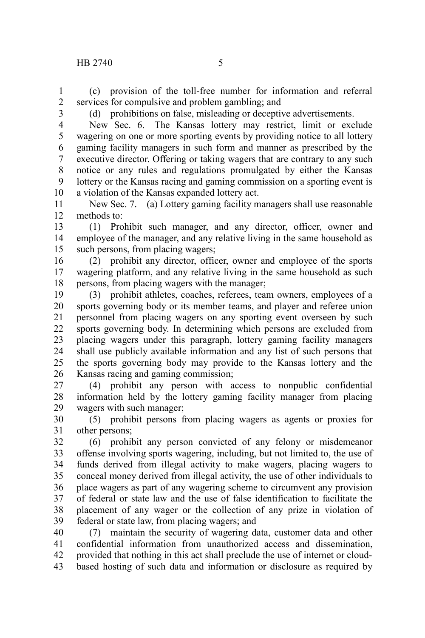(c) provision of the toll-free number for information and referral services for compulsive and problem gambling; and 1 2

3

(d) prohibitions on false, misleading or deceptive advertisements.

New Sec. 6. The Kansas lottery may restrict, limit or exclude wagering on one or more sporting events by providing notice to all lottery gaming facility managers in such form and manner as prescribed by the executive director. Offering or taking wagers that are contrary to any such notice or any rules and regulations promulgated by either the Kansas lottery or the Kansas racing and gaming commission on a sporting event is a violation of the Kansas expanded lottery act. 4 5 6 7 8 9 10

New Sec. 7. (a) Lottery gaming facility managers shall use reasonable methods to: 11 12

(1) Prohibit such manager, and any director, officer, owner and employee of the manager, and any relative living in the same household as such persons, from placing wagers; 13 14 15

(2) prohibit any director, officer, owner and employee of the sports wagering platform, and any relative living in the same household as such persons, from placing wagers with the manager; 16 17 18

(3) prohibit athletes, coaches, referees, team owners, employees of a sports governing body or its member teams, and player and referee union personnel from placing wagers on any sporting event overseen by such sports governing body. In determining which persons are excluded from placing wagers under this paragraph, lottery gaming facility managers shall use publicly available information and any list of such persons that the sports governing body may provide to the Kansas lottery and the Kansas racing and gaming commission; 19 20 21 22 23 24 25 26

(4) prohibit any person with access to nonpublic confidential information held by the lottery gaming facility manager from placing wagers with such manager; 27 28 29

(5) prohibit persons from placing wagers as agents or proxies for other persons; 30 31

(6) prohibit any person convicted of any felony or misdemeanor offense involving sports wagering, including, but not limited to, the use of funds derived from illegal activity to make wagers, placing wagers to conceal money derived from illegal activity, the use of other individuals to place wagers as part of any wagering scheme to circumvent any provision of federal or state law and the use of false identification to facilitate the placement of any wager or the collection of any prize in violation of federal or state law, from placing wagers; and 32 33 34 35 36 37 38 39

(7) maintain the security of wagering data, customer data and other confidential information from unauthorized access and dissemination, provided that nothing in this act shall preclude the use of internet or cloudbased hosting of such data and information or disclosure as required by 40 41 42 43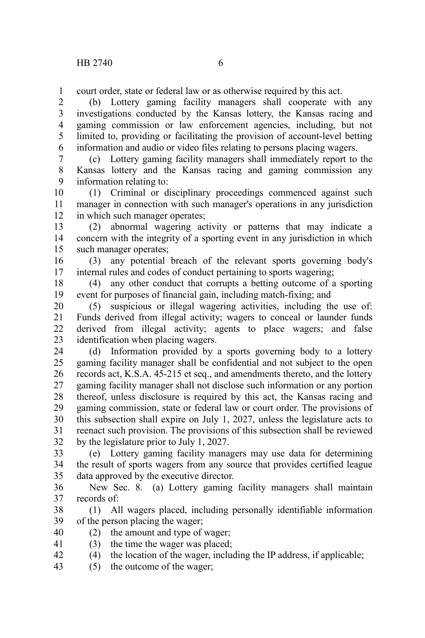court order, state or federal law or as otherwise required by this act. 1

(b) Lottery gaming facility managers shall cooperate with any investigations conducted by the Kansas lottery, the Kansas racing and gaming commission or law enforcement agencies, including, but not limited to, providing or facilitating the provision of account-level betting information and audio or video files relating to persons placing wagers. 2 3 4 5 6

(c) Lottery gaming facility managers shall immediately report to the Kansas lottery and the Kansas racing and gaming commission any information relating to: 7 8 9

(1) Criminal or disciplinary proceedings commenced against such manager in connection with such manager's operations in any jurisdiction in which such manager operates; 10 11 12

(2) abnormal wagering activity or patterns that may indicate a concern with the integrity of a sporting event in any jurisdiction in which such manager operates; 13 14 15

(3) any potential breach of the relevant sports governing body's internal rules and codes of conduct pertaining to sports wagering; 16 17

(4) any other conduct that corrupts a betting outcome of a sporting event for purposes of financial gain, including match-fixing; and 18 19

(5) suspicious or illegal wagering activities, including the use of: Funds derived from illegal activity; wagers to conceal or launder funds derived from illegal activity; agents to place wagers; and false identification when placing wagers. 20 21 22 23

(d) Information provided by a sports governing body to a lottery gaming facility manager shall be confidential and not subject to the open records act, K.S.A. 45-215 et seq., and amendments thereto, and the lottery gaming facility manager shall not disclose such information or any portion thereof, unless disclosure is required by this act, the Kansas racing and gaming commission, state or federal law or court order. The provisions of this subsection shall expire on July 1, 2027, unless the legislature acts to reenact such provision. The provisions of this subsection shall be reviewed by the legislature prior to July 1, 2027. 24 25 26 27 28 29 30 31 32

(e) Lottery gaming facility managers may use data for determining the result of sports wagers from any source that provides certified league data approved by the executive director. 33 34 35

New Sec. 8. (a) Lottery gaming facility managers shall maintain records of: 36 37

(1) All wagers placed, including personally identifiable information of the person placing the wager; 38 39

(2) the amount and type of wager; 40

- (3) the time the wager was placed; 41
- (4) the location of the wager, including the IP address, if applicable; 42
- (5) the outcome of the wager; 43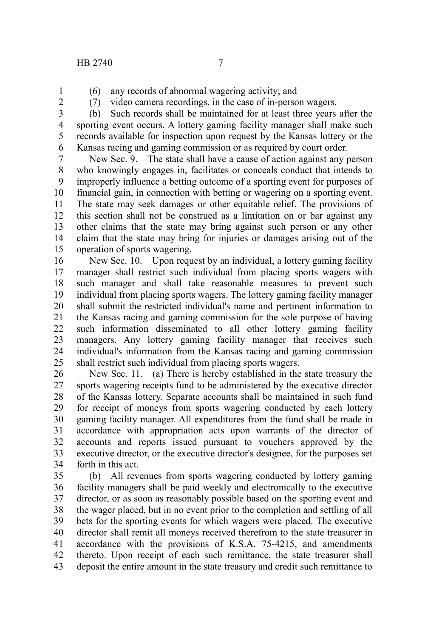- (6) any records of abnormal wagering activity; and
- 1 2
- (7) video camera recordings, in the case of in-person wagers.

(b) Such records shall be maintained for at least three years after the sporting event occurs. A lottery gaming facility manager shall make such records available for inspection upon request by the Kansas lottery or the Kansas racing and gaming commission or as required by court order. 3 4 5 6

New Sec. 9. The state shall have a cause of action against any person who knowingly engages in, facilitates or conceals conduct that intends to improperly influence a betting outcome of a sporting event for purposes of financial gain, in connection with betting or wagering on a sporting event. The state may seek damages or other equitable relief. The provisions of this section shall not be construed as a limitation on or bar against any other claims that the state may bring against such person or any other claim that the state may bring for injuries or damages arising out of the operation of sports wagering. 7 8 9 10 11 12 13 14 15

New Sec. 10. Upon request by an individual, a lottery gaming facility manager shall restrict such individual from placing sports wagers with such manager and shall take reasonable measures to prevent such individual from placing sports wagers. The lottery gaming facility manager shall submit the restricted individual's name and pertinent information to the Kansas racing and gaming commission for the sole purpose of having such information disseminated to all other lottery gaming facility managers. Any lottery gaming facility manager that receives such individual's information from the Kansas racing and gaming commission shall restrict such individual from placing sports wagers. 16 17 18 19 20 21 22 23 24 25

New Sec. 11. (a) There is hereby established in the state treasury the sports wagering receipts fund to be administered by the executive director of the Kansas lottery. Separate accounts shall be maintained in such fund for receipt of moneys from sports wagering conducted by each lottery gaming facility manager. All expenditures from the fund shall be made in accordance with appropriation acts upon warrants of the director of accounts and reports issued pursuant to vouchers approved by the executive director, or the executive director's designee, for the purposes set forth in this act. 26 27 28 29 30 31 32 33 34

(b) All revenues from sports wagering conducted by lottery gaming facility managers shall be paid weekly and electronically to the executive director, or as soon as reasonably possible based on the sporting event and the wager placed, but in no event prior to the completion and settling of all bets for the sporting events for which wagers were placed. The executive director shall remit all moneys received therefrom to the state treasurer in accordance with the provisions of K.S.A. 75-4215, and amendments thereto. Upon receipt of each such remittance, the state treasurer shall deposit the entire amount in the state treasury and credit such remittance to 35 36 37 38 39 40 41 42 43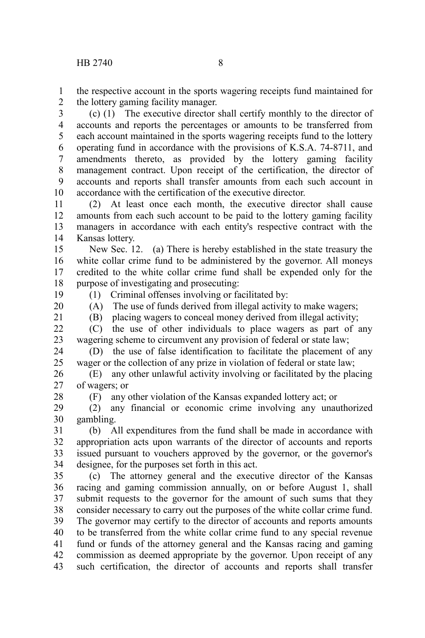the respective account in the sports wagering receipts fund maintained for the lottery gaming facility manager. 1 2

(c) (1) The executive director shall certify monthly to the director of accounts and reports the percentages or amounts to be transferred from each account maintained in the sports wagering receipts fund to the lottery operating fund in accordance with the provisions of K.S.A. 74-8711, and amendments thereto, as provided by the lottery gaming facility management contract. Upon receipt of the certification, the director of accounts and reports shall transfer amounts from each such account in accordance with the certification of the executive director. 3 4 5 6 7 8 9 10

(2) At least once each month, the executive director shall cause amounts from each such account to be paid to the lottery gaming facility managers in accordance with each entity's respective contract with the Kansas lottery. 11 12 13 14

New Sec. 12. (a) There is hereby established in the state treasury the white collar crime fund to be administered by the governor. All moneys credited to the white collar crime fund shall be expended only for the purpose of investigating and prosecuting: 15 16 17 18

(1) Criminal offenses involving or facilitated by:

19 20

(A) The use of funds derived from illegal activity to make wagers;

21

(B) placing wagers to conceal money derived from illegal activity;

(C) the use of other individuals to place wagers as part of any wagering scheme to circumvent any provision of federal or state law;  $22$ 23

(D) the use of false identification to facilitate the placement of any wager or the collection of any prize in violation of federal or state law; 24 25

(E) any other unlawful activity involving or facilitated by the placing of wagers; or 26 27

28

(F) any other violation of the Kansas expanded lottery act; or

(2) any financial or economic crime involving any unauthorized gambling. 29 30

(b) All expenditures from the fund shall be made in accordance with appropriation acts upon warrants of the director of accounts and reports issued pursuant to vouchers approved by the governor, or the governor's designee, for the purposes set forth in this act. 31 32 33 34

(c) The attorney general and the executive director of the Kansas racing and gaming commission annually, on or before August 1, shall submit requests to the governor for the amount of such sums that they consider necessary to carry out the purposes of the white collar crime fund. The governor may certify to the director of accounts and reports amounts to be transferred from the white collar crime fund to any special revenue fund or funds of the attorney general and the Kansas racing and gaming commission as deemed appropriate by the governor. Upon receipt of any such certification, the director of accounts and reports shall transfer 35 36 37 38 39 40 41 42 43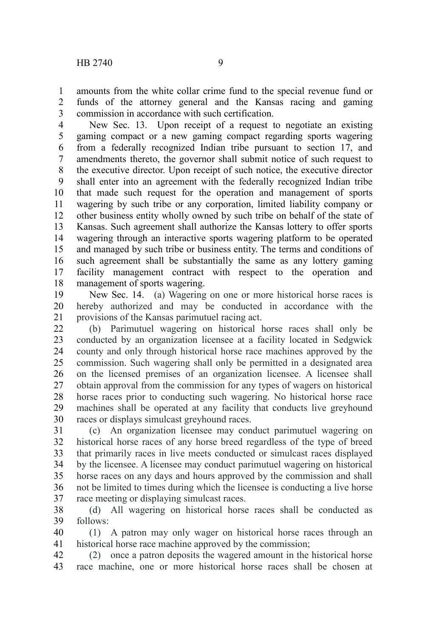amounts from the white collar crime fund to the special revenue fund or funds of the attorney general and the Kansas racing and gaming commission in accordance with such certification. 1 2 3

New Sec. 13. Upon receipt of a request to negotiate an existing gaming compact or a new gaming compact regarding sports wagering from a federally recognized Indian tribe pursuant to section 17, and amendments thereto, the governor shall submit notice of such request to the executive director. Upon receipt of such notice, the executive director shall enter into an agreement with the federally recognized Indian tribe that made such request for the operation and management of sports wagering by such tribe or any corporation, limited liability company or other business entity wholly owned by such tribe on behalf of the state of Kansas. Such agreement shall authorize the Kansas lottery to offer sports wagering through an interactive sports wagering platform to be operated and managed by such tribe or business entity. The terms and conditions of such agreement shall be substantially the same as any lottery gaming facility management contract with respect to the operation and management of sports wagering. 4 5 6 7 8 9 10 11 12 13 14 15 16 17 18

New Sec. 14. (a) Wagering on one or more historical horse races is hereby authorized and may be conducted in accordance with the provisions of the Kansas parimutuel racing act. 19 20 21

(b) Parimutuel wagering on historical horse races shall only be conducted by an organization licensee at a facility located in Sedgwick county and only through historical horse race machines approved by the commission. Such wagering shall only be permitted in a designated area on the licensed premises of an organization licensee. A licensee shall obtain approval from the commission for any types of wagers on historical horse races prior to conducting such wagering. No historical horse race machines shall be operated at any facility that conducts live greyhound races or displays simulcast greyhound races. 22 23 24 25 26 27 28 29 30

(c) An organization licensee may conduct parimutuel wagering on historical horse races of any horse breed regardless of the type of breed that primarily races in live meets conducted or simulcast races displayed by the licensee. A licensee may conduct parimutuel wagering on historical horse races on any days and hours approved by the commission and shall not be limited to times during which the licensee is conducting a live horse race meeting or displaying simulcast races. 31 32 33 34 35 36 37

(d) All wagering on historical horse races shall be conducted as follows: 38 39

(1) A patron may only wager on historical horse races through an historical horse race machine approved by the commission; 40 41

(2) once a patron deposits the wagered amount in the historical horse race machine, one or more historical horse races shall be chosen at 42 43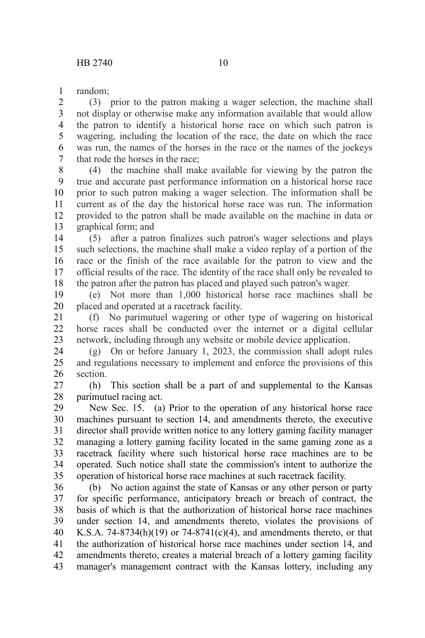random; 1

(3) prior to the patron making a wager selection, the machine shall not display or otherwise make any information available that would allow the patron to identify a historical horse race on which such patron is wagering, including the location of the race, the date on which the race was run, the names of the horses in the race or the names of the jockeys that rode the horses in the race; 2 3 4 5 6 7

(4) the machine shall make available for viewing by the patron the true and accurate past performance information on a historical horse race prior to such patron making a wager selection. The information shall be current as of the day the historical horse race was run. The information provided to the patron shall be made available on the machine in data or graphical form; and 8 9 10 11 12 13

(5) after a patron finalizes such patron's wager selections and plays such selections, the machine shall make a video replay of a portion of the race or the finish of the race available for the patron to view and the official results of the race. The identity of the race shall only be revealed to the patron after the patron has placed and played such patron's wager. 14 15 16 17 18

(e) Not more than 1,000 historical horse race machines shall be placed and operated at a racetrack facility. 19 20

(f) No parimutuel wagering or other type of wagering on historical horse races shall be conducted over the internet or a digital cellular network, including through any website or mobile device application. 21 22 23

(g) On or before January 1, 2023, the commission shall adopt rules and regulations necessary to implement and enforce the provisions of this section. 24 25 26

(h) This section shall be a part of and supplemental to the Kansas parimutuel racing act. 27 28

New Sec. 15. (a) Prior to the operation of any historical horse race machines pursuant to section 14, and amendments thereto, the executive director shall provide written notice to any lottery gaming facility manager managing a lottery gaming facility located in the same gaming zone as a racetrack facility where such historical horse race machines are to be operated. Such notice shall state the commission's intent to authorize the operation of historical horse race machines at such racetrack facility. 29 30 31 32 33 34 35

(b) No action against the state of Kansas or any other person or party for specific performance, anticipatory breach or breach of contract, the basis of which is that the authorization of historical horse race machines under section 14, and amendments thereto, violates the provisions of K.S.A. 74-8734(h)(19) or 74-8741(c)(4), and amendments thereto, or that the authorization of historical horse race machines under section 14, and amendments thereto, creates a material breach of a lottery gaming facility manager's management contract with the Kansas lottery, including any 36 37 38 39 40 41 42 43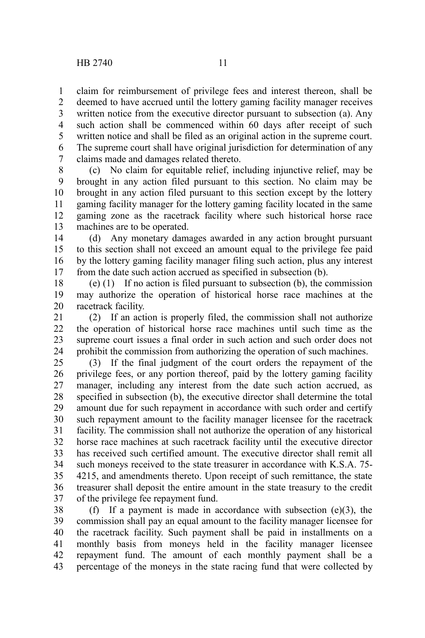claim for reimbursement of privilege fees and interest thereon, shall be deemed to have accrued until the lottery gaming facility manager receives written notice from the executive director pursuant to subsection (a). Any such action shall be commenced within 60 days after receipt of such written notice and shall be filed as an original action in the supreme court. The supreme court shall have original jurisdiction for determination of any claims made and damages related thereto. 1 2 3 4 5 6 7

(c) No claim for equitable relief, including injunctive relief, may be brought in any action filed pursuant to this section. No claim may be brought in any action filed pursuant to this section except by the lottery gaming facility manager for the lottery gaming facility located in the same gaming zone as the racetrack facility where such historical horse race machines are to be operated. 8 9 10 11 12 13

(d) Any monetary damages awarded in any action brought pursuant to this section shall not exceed an amount equal to the privilege fee paid by the lottery gaming facility manager filing such action, plus any interest from the date such action accrued as specified in subsection (b). 14 15 16 17

(e) (1) If no action is filed pursuant to subsection (b), the commission may authorize the operation of historical horse race machines at the racetrack facility. 18 19 20

(2) If an action is properly filed, the commission shall not authorize the operation of historical horse race machines until such time as the supreme court issues a final order in such action and such order does not prohibit the commission from authorizing the operation of such machines. 21 22 23 24

(3) If the final judgment of the court orders the repayment of the privilege fees, or any portion thereof, paid by the lottery gaming facility manager, including any interest from the date such action accrued, as specified in subsection (b), the executive director shall determine the total amount due for such repayment in accordance with such order and certify such repayment amount to the facility manager licensee for the racetrack facility. The commission shall not authorize the operation of any historical horse race machines at such racetrack facility until the executive director has received such certified amount. The executive director shall remit all such moneys received to the state treasurer in accordance with K.S.A. 75- 4215, and amendments thereto. Upon receipt of such remittance, the state treasurer shall deposit the entire amount in the state treasury to the credit of the privilege fee repayment fund. 25 26 27 28 29 30 31 32 33 34 35 36 37

(f) If a payment is made in accordance with subsection  $(e)(3)$ , the commission shall pay an equal amount to the facility manager licensee for the racetrack facility. Such payment shall be paid in installments on a monthly basis from moneys held in the facility manager licensee repayment fund. The amount of each monthly payment shall be a percentage of the moneys in the state racing fund that were collected by 38 39 40 41 42 43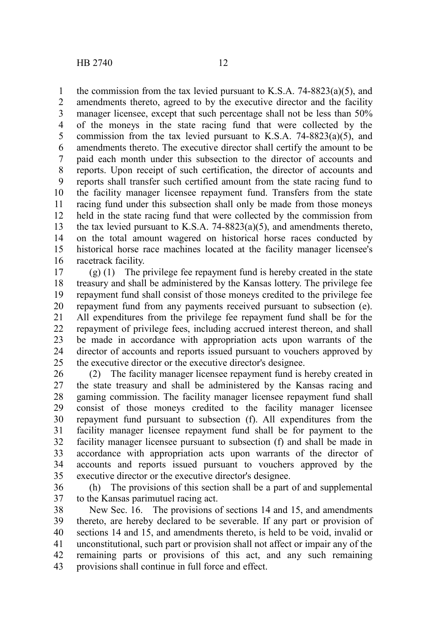the commission from the tax levied pursuant to K.S.A. 74-8823(a)(5), and amendments thereto, agreed to by the executive director and the facility manager licensee, except that such percentage shall not be less than 50% of the moneys in the state racing fund that were collected by the commission from the tax levied pursuant to K.S.A. 74-8823(a)(5), and amendments thereto. The executive director shall certify the amount to be paid each month under this subsection to the director of accounts and reports. Upon receipt of such certification, the director of accounts and reports shall transfer such certified amount from the state racing fund to the facility manager licensee repayment fund. Transfers from the state racing fund under this subsection shall only be made from those moneys held in the state racing fund that were collected by the commission from the tax levied pursuant to K.S.A. 74-8823(a)(5), and amendments thereto, on the total amount wagered on historical horse races conducted by historical horse race machines located at the facility manager licensee's racetrack facility. 1 2 3 4 5 6 7 8 9 10 11 12 13 14 15 16

(g) (1) The privilege fee repayment fund is hereby created in the state treasury and shall be administered by the Kansas lottery. The privilege fee repayment fund shall consist of those moneys credited to the privilege fee repayment fund from any payments received pursuant to subsection (e). All expenditures from the privilege fee repayment fund shall be for the repayment of privilege fees, including accrued interest thereon, and shall be made in accordance with appropriation acts upon warrants of the director of accounts and reports issued pursuant to vouchers approved by the executive director or the executive director's designee. 17 18 19 20 21 22 23 24 25

(2) The facility manager licensee repayment fund is hereby created in the state treasury and shall be administered by the Kansas racing and gaming commission. The facility manager licensee repayment fund shall consist of those moneys credited to the facility manager licensee repayment fund pursuant to subsection (f). All expenditures from the facility manager licensee repayment fund shall be for payment to the facility manager licensee pursuant to subsection (f) and shall be made in accordance with appropriation acts upon warrants of the director of accounts and reports issued pursuant to vouchers approved by the executive director or the executive director's designee. 26 27 28 29 30 31 32 33 34 35

(h) The provisions of this section shall be a part of and supplemental to the Kansas parimutuel racing act. 36 37

New Sec. 16. The provisions of sections 14 and 15, and amendments thereto, are hereby declared to be severable. If any part or provision of sections 14 and 15, and amendments thereto, is held to be void, invalid or unconstitutional, such part or provision shall not affect or impair any of the remaining parts or provisions of this act, and any such remaining provisions shall continue in full force and effect. 38 39 40 41 42 43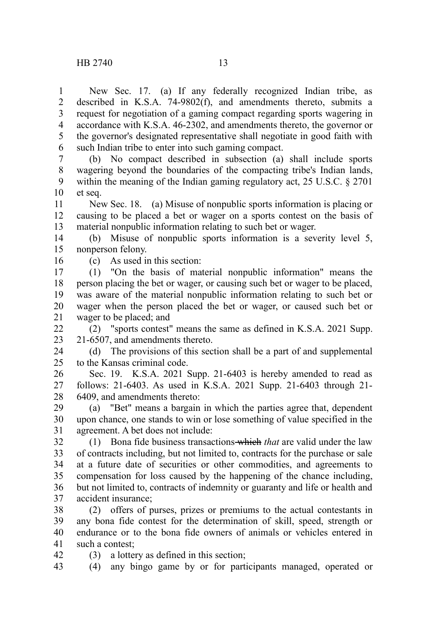New Sec. 17. (a) If any federally recognized Indian tribe, as described in K.S.A. 74-9802(f), and amendments thereto, submits a request for negotiation of a gaming compact regarding sports wagering in accordance with K.S.A. 46-2302, and amendments thereto, the governor or the governor's designated representative shall negotiate in good faith with such Indian tribe to enter into such gaming compact. 1 2 3 4 5 6

(b) No compact described in subsection (a) shall include sports wagering beyond the boundaries of the compacting tribe's Indian lands, within the meaning of the Indian gaming regulatory act, 25 U.S.C. § 2701 et seq. 7 8 9 10

New Sec. 18. (a) Misuse of nonpublic sports information is placing or causing to be placed a bet or wager on a sports contest on the basis of material nonpublic information relating to such bet or wager. 11 12 13

(b) Misuse of nonpublic sports information is a severity level 5, nonperson felony. 14 15

16

42

(c) As used in this section:

(1) "On the basis of material nonpublic information" means the person placing the bet or wager, or causing such bet or wager to be placed, was aware of the material nonpublic information relating to such bet or wager when the person placed the bet or wager, or caused such bet or wager to be placed; and 17 18 19 20 21

(2) "sports contest" means the same as defined in K.S.A. 2021 Supp. 21-6507, and amendments thereto.  $22$ 23

(d) The provisions of this section shall be a part of and supplemental to the Kansas criminal code. 24 25

Sec. 19. K.S.A. 2021 Supp. 21-6403 is hereby amended to read as follows: 21-6403. As used in K.S.A. 2021 Supp. 21-6403 through 21- 6409, and amendments thereto: 26 27 28

(a) "Bet" means a bargain in which the parties agree that, dependent upon chance, one stands to win or lose something of value specified in the agreement. A bet does not include: 29 30 31

(1) Bona fide business transactions which *that* are valid under the law of contracts including, but not limited to, contracts for the purchase or sale at a future date of securities or other commodities, and agreements to compensation for loss caused by the happening of the chance including, but not limited to, contracts of indemnity or guaranty and life or health and accident insurance; 32 33 34 35 36 37

(2) offers of purses, prizes or premiums to the actual contestants in any bona fide contest for the determination of skill, speed, strength or endurance or to the bona fide owners of animals or vehicles entered in such a contest; 38 39 40 41

(3) a lottery as defined in this section;

(4) any bingo game by or for participants managed, operated or 43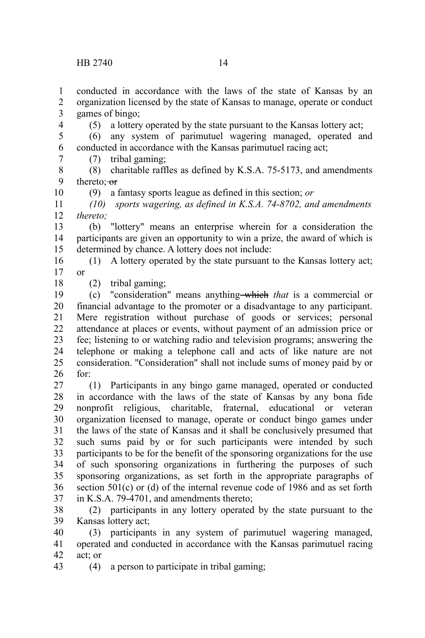conducted in accordance with the laws of the state of Kansas by an organization licensed by the state of Kansas to manage, operate or conduct games of bingo; 1 2 3

(5) a lottery operated by the state pursuant to the Kansas lottery act;

(6) any system of parimutuel wagering managed, operated and conducted in accordance with the Kansas parimutuel racing act; 5 6 7

(7) tribal gaming;

(8) charitable raffles as defined by K.S.A. 75-5173, and amendments thereto: or 8 9

(9) a fantasy sports league as defined in this section; *or*

*(10) sports wagering, as defined in K.S.A. 74-8702, and amendments thereto;* 11 12

(b) "lottery" means an enterprise wherein for a consideration the participants are given an opportunity to win a prize, the award of which is determined by chance. A lottery does not include: 13 14 15

(1) A lottery operated by the state pursuant to the Kansas lottery act; or 16 17

18

4

10

(2) tribal gaming;

(c) "consideration" means anything which *that* is a commercial or financial advantage to the promoter or a disadvantage to any participant. Mere registration without purchase of goods or services; personal attendance at places or events, without payment of an admission price or fee; listening to or watching radio and television programs; answering the telephone or making a telephone call and acts of like nature are not consideration. "Consideration" shall not include sums of money paid by or for: 19 20 21 22 23 24 25 26

(1) Participants in any bingo game managed, operated or conducted in accordance with the laws of the state of Kansas by any bona fide nonprofit religious, charitable, fraternal, educational or veteran organization licensed to manage, operate or conduct bingo games under the laws of the state of Kansas and it shall be conclusively presumed that such sums paid by or for such participants were intended by such participants to be for the benefit of the sponsoring organizations for the use of such sponsoring organizations in furthering the purposes of such sponsoring organizations, as set forth in the appropriate paragraphs of section 501(c) or (d) of the internal revenue code of 1986 and as set forth in K.S.A. 79-4701, and amendments thereto; 27 28 29 30 31 32 33 34 35 36 37

(2) participants in any lottery operated by the state pursuant to the Kansas lottery act; 38 39

(3) participants in any system of parimutuel wagering managed, operated and conducted in accordance with the Kansas parimutuel racing act; or 40 41 42

(4) a person to participate in tribal gaming; 43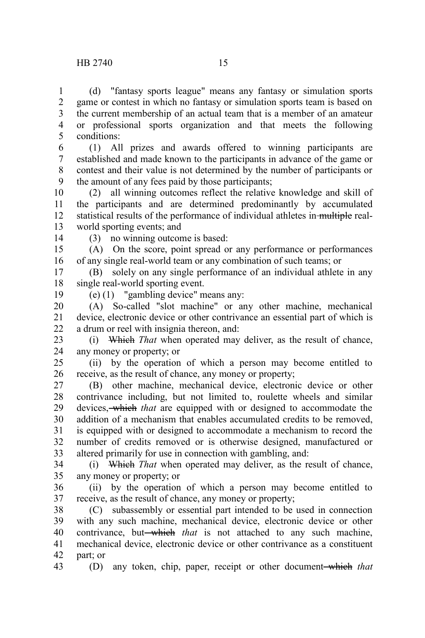(d) "fantasy sports league" means any fantasy or simulation sports game or contest in which no fantasy or simulation sports team is based on the current membership of an actual team that is a member of an amateur or professional sports organization and that meets the following conditions: 1 2 3 4 5

(1) All prizes and awards offered to winning participants are established and made known to the participants in advance of the game or contest and their value is not determined by the number of participants or the amount of any fees paid by those participants; 6 7 8 9

(2) all winning outcomes reflect the relative knowledge and skill of the participants and are determined predominantly by accumulated statistical results of the performance of individual athletes in multiple realworld sporting events; and 10 11 12 13

14

(3) no winning outcome is based:

(A) On the score, point spread or any performance or performances of any single real-world team or any combination of such teams; or 15 16

(B) solely on any single performance of an individual athlete in any single real-world sporting event. 17 18

19

(e) (1) "gambling device" means any:

(A) So-called "slot machine" or any other machine, mechanical device, electronic device or other contrivance an essential part of which is a drum or reel with insignia thereon, and: 20 21 22

(i) Which *That* when operated may deliver, as the result of chance, any money or property; or 23 24

(ii) by the operation of which a person may become entitled to receive, as the result of chance, any money or property; 25 26

(B) other machine, mechanical device, electronic device or other contrivance including, but not limited to, roulette wheels and similar devices, which *that* are equipped with or designed to accommodate the addition of a mechanism that enables accumulated credits to be removed, is equipped with or designed to accommodate a mechanism to record the number of credits removed or is otherwise designed, manufactured or altered primarily for use in connection with gambling, and: 27 28 29 30 31 32 33

(i) Which *That* when operated may deliver, as the result of chance, any money or property; or 34 35

(ii) by the operation of which a person may become entitled to receive, as the result of chance, any money or property; 36 37

(C) subassembly or essential part intended to be used in connection with any such machine, mechanical device, electronic device or other contrivance, but—which *that* is not attached to any such machine, mechanical device, electronic device or other contrivance as a constituent part; or 38 39 40 41 42

(D) any token, chip, paper, receipt or other document which *that* 43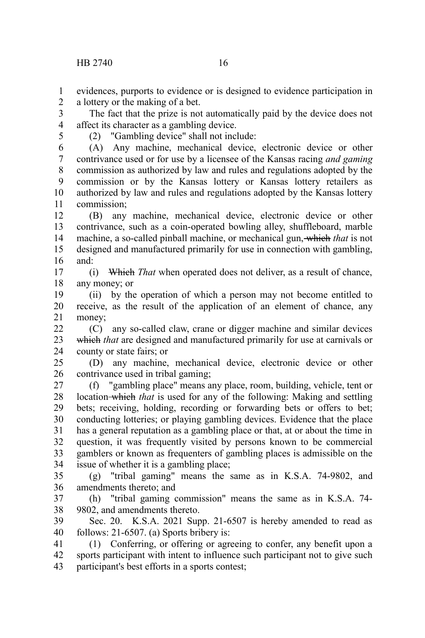evidences, purports to evidence or is designed to evidence participation in a lottery or the making of a bet. 1 2

The fact that the prize is not automatically paid by the device does not affect its character as a gambling device. 3 4

5

(2) "Gambling device" shall not include:

(A) Any machine, mechanical device, electronic device or other contrivance used or for use by a licensee of the Kansas racing *and gaming* commission as authorized by law and rules and regulations adopted by the commission or by the Kansas lottery or Kansas lottery retailers as authorized by law and rules and regulations adopted by the Kansas lottery commission; 6 7 8 9 10 11

(B) any machine, mechanical device, electronic device or other contrivance, such as a coin-operated bowling alley, shuffleboard, marble machine, a so-called pinball machine, or mechanical gun, which *that* is not designed and manufactured primarily for use in connection with gambling, and: 12 13 14 15 16

(i) Which *That* when operated does not deliver, as a result of chance, any money; or 17 18

(ii) by the operation of which a person may not become entitled to receive, as the result of the application of an element of chance, any money; 19 20 21

(C) any so-called claw, crane or digger machine and similar devices which *that* are designed and manufactured primarily for use at carnivals or county or state fairs; or 22 23 24

(D) any machine, mechanical device, electronic device or other contrivance used in tribal gaming; 25 26

(f) "gambling place" means any place, room, building, vehicle, tent or location which *that* is used for any of the following: Making and settling bets; receiving, holding, recording or forwarding bets or offers to bet; conducting lotteries; or playing gambling devices. Evidence that the place has a general reputation as a gambling place or that, at or about the time in question, it was frequently visited by persons known to be commercial gamblers or known as frequenters of gambling places is admissible on the issue of whether it is a gambling place; 27 28 29 30 31 32 33 34

(g) "tribal gaming" means the same as in K.S.A. 74-9802, and amendments thereto; and 35 36

(h) "tribal gaming commission" means the same as in K.S.A. 74- 9802, and amendments thereto. 37 38

Sec. 20. K.S.A. 2021 Supp. 21-6507 is hereby amended to read as follows: 21-6507. (a) Sports bribery is: 39 40

(1) Conferring, or offering or agreeing to confer, any benefit upon a sports participant with intent to influence such participant not to give such participant's best efforts in a sports contest; 41 42 43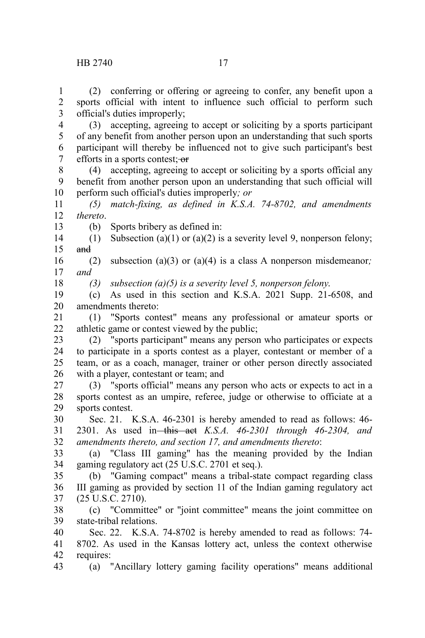(3) accepting, agreeing to accept or soliciting by a sports participant of any benefit from another person upon an understanding that such sports participant will thereby be influenced not to give such participant's best efforts in a sports contest; or 4 5 6 7

(4) accepting, agreeing to accept or soliciting by a sports official any benefit from another person upon an understanding that such official will perform such official's duties improperly*; or* 8 9 10

*(5) match-fixing, as defined in K.S.A. 74-8702, and amendments thereto*. 11 12

13

(b) Sports bribery as defined in:

(1) Subsection (a)(1) or (a)(2) is a severity level 9, nonperson felony; and 14 15

(2) subsection (a)(3) or (a)(4) is a class A nonperson misdemeanor*; and* 16 17

18

*(3) subsection (a)(5) is a severity level 5, nonperson felony*.

(c) As used in this section and K.S.A. 2021 Supp. 21-6508, and amendments thereto: 19 20

(1) "Sports contest" means any professional or amateur sports or athletic game or contest viewed by the public; 21 22

(2) "sports participant" means any person who participates or expects to participate in a sports contest as a player, contestant or member of a team, or as a coach, manager, trainer or other person directly associated with a player, contestant or team; and 23 24 25 26

(3) "sports official" means any person who acts or expects to act in a sports contest as an umpire, referee, judge or otherwise to officiate at a sports contest. 27 28 29

Sec. 21. K.S.A. 46-2301 is hereby amended to read as follows: 46- 2301. As used in this act *K.S.A. 46-2301 through 46-2304, and amendments thereto, and section 17, and amendments thereto*: 30 31 32

(a) "Class III gaming" has the meaning provided by the Indian gaming regulatory act (25 U.S.C. 2701 et seq.). 33 34

(b) "Gaming compact" means a tribal-state compact regarding class III gaming as provided by section 11 of the Indian gaming regulatory act (25 U.S.C. 2710). 35 36 37

(c) "Committee" or "joint committee" means the joint committee on state-tribal relations. 38 39

Sec. 22. K.S.A. 74-8702 is hereby amended to read as follows: 74- 8702. As used in the Kansas lottery act, unless the context otherwise requires: 40 41 42

(a) "Ancillary lottery gaming facility operations" means additional 43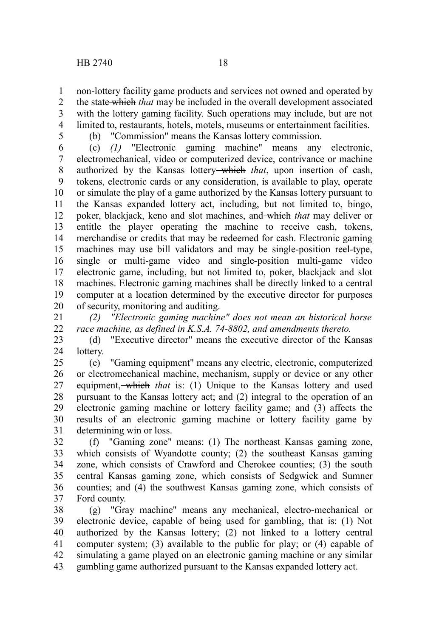non-lottery facility game products and services not owned and operated by the state which *that* may be included in the overall development associated with the lottery gaming facility. Such operations may include, but are not limited to, restaurants, hotels, motels, museums or entertainment facilities. 1 2 3 4

5

(b) "Commission" means the Kansas lottery commission.

(c) *(1)* "Electronic gaming machine" means any electronic, electromechanical, video or computerized device, contrivance or machine authorized by the Kansas lottery which *that*, upon insertion of cash, tokens, electronic cards or any consideration, is available to play, operate or simulate the play of a game authorized by the Kansas lottery pursuant to the Kansas expanded lottery act, including, but not limited to, bingo, poker, blackjack, keno and slot machines, and which *that* may deliver or entitle the player operating the machine to receive cash, tokens, merchandise or credits that may be redeemed for cash. Electronic gaming machines may use bill validators and may be single-position reel-type, single or multi-game video and single-position multi-game video electronic game, including, but not limited to, poker, blackjack and slot machines. Electronic gaming machines shall be directly linked to a central computer at a location determined by the executive director for purposes of security, monitoring and auditing. 6 7 8 9 10 11 12 13 14 15 16 17 18 19 20

*(2) "Electronic gaming machine" does not mean an historical horse race machine, as defined in K.S.A. 74-8802, and amendments thereto.* 21 22

(d) "Executive director" means the executive director of the Kansas lottery. 23 24

(e) "Gaming equipment" means any electric, electronic, computerized or electromechanical machine, mechanism, supply or device or any other equipment, which *that* is: (1) Unique to the Kansas lottery and used pursuant to the Kansas lottery act; and (2) integral to the operation of an electronic gaming machine or lottery facility game; and (3) affects the results of an electronic gaming machine or lottery facility game by determining win or loss. 25 26 27 28 29 30 31

(f) "Gaming zone" means: (1) The northeast Kansas gaming zone, which consists of Wyandotte county; (2) the southeast Kansas gaming zone, which consists of Crawford and Cherokee counties; (3) the south central Kansas gaming zone, which consists of Sedgwick and Sumner counties; and (4) the southwest Kansas gaming zone, which consists of Ford county. 32 33 34 35 36 37

(g) "Gray machine" means any mechanical, electro-mechanical or electronic device, capable of being used for gambling, that is: (1) Not authorized by the Kansas lottery; (2) not linked to a lottery central computer system; (3) available to the public for play; or (4) capable of simulating a game played on an electronic gaming machine or any similar gambling game authorized pursuant to the Kansas expanded lottery act. 38 39 40 41 42 43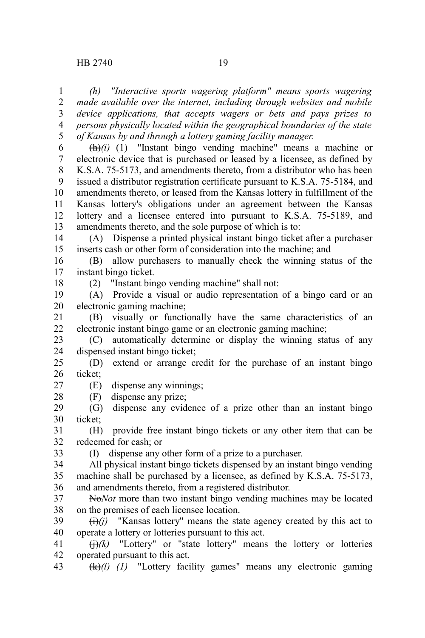*(h) "Interactive sports wagering platform" means sports wagering made available over the internet, including through websites and mobile device applications, that accepts wagers or bets and pays prizes to persons physically located within the geographical boundaries of the state of Kansas by and through a lottery gaming facility manager.* 1 2 3 4 5

 $\left(\frac{h}{h}\right)(i)$  (1) "Instant bingo vending machine" means a machine or electronic device that is purchased or leased by a licensee, as defined by K.S.A. 75-5173, and amendments thereto, from a distributor who has been issued a distributor registration certificate pursuant to K.S.A. 75-5184, and amendments thereto, or leased from the Kansas lottery in fulfillment of the Kansas lottery's obligations under an agreement between the Kansas lottery and a licensee entered into pursuant to K.S.A. 75-5189, and amendments thereto, and the sole purpose of which is to: 6 7 8 9 10 11 12 13

(A) Dispense a printed physical instant bingo ticket after a purchaser inserts cash or other form of consideration into the machine; and 14 15

(B) allow purchasers to manually check the winning status of the instant bingo ticket. 16 17

18

(2) "Instant bingo vending machine" shall not:

(A) Provide a visual or audio representation of a bingo card or an electronic gaming machine; 19 20

(B) visually or functionally have the same characteristics of an electronic instant bingo game or an electronic gaming machine; 21 22

(C) automatically determine or display the winning status of any dispensed instant bingo ticket; 23 24

(D) extend or arrange credit for the purchase of an instant bingo ticket; 25 26

(E) dispense any winnings; 27

(F) dispense any prize;

(G) dispense any evidence of a prize other than an instant bingo ticket; 29 30

(H) provide free instant bingo tickets or any other item that can be redeemed for cash; or 31 32

33

28

(I) dispense any other form of a prize to a purchaser.

All physical instant bingo tickets dispensed by an instant bingo vending machine shall be purchased by a licensee, as defined by K.S.A. 75-5173, and amendments thereto, from a registered distributor. 34 35 36

No*Not* more than two instant bingo vending machines may be located on the premises of each licensee location. 37 38

 $\overline{(i)}$ *(i)* "Kansas lottery" means the state agency created by this act to operate a lottery or lotteries pursuant to this act. 39 40

 $\left(\frac{1}{i}\right)$  /(k) "Lottery" or "state lottery" means the lottery or lotteries operated pursuant to this act. 41 42

(k)*(l) (1)* "Lottery facility games" means any electronic gaming 43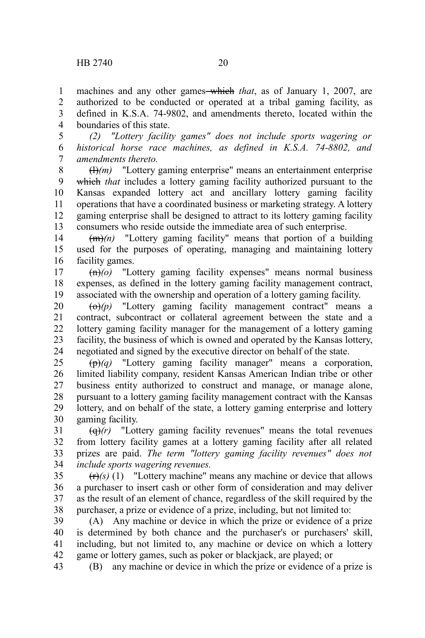machines and any other games-which *that*, as of January 1, 2007, are authorized to be conducted or operated at a tribal gaming facility, as defined in K.S.A. 74-9802, and amendments thereto, located within the boundaries of this state. 1 2 3 4

*(2) "Lottery facility games" does not include sports wagering or historical horse race machines, as defined in K.S.A. 74-8802, and amendments thereto.* 5 6 7

(l)*(m)* "Lottery gaming enterprise" means an entertainment enterprise which *that* includes a lottery gaming facility authorized pursuant to the Kansas expanded lottery act and ancillary lottery gaming facility operations that have a coordinated business or marketing strategy. A lottery gaming enterprise shall be designed to attract to its lottery gaming facility consumers who reside outside the immediate area of such enterprise. 8 9 10 11 12 13

(m)*(n)* "Lottery gaming facility" means that portion of a building used for the purposes of operating, managing and maintaining lottery facility games. 14 15 16

 $\overline{(n)}$ ( $\overline{o}$ ) "Lottery gaming facility expenses" means normal business expenses, as defined in the lottery gaming facility management contract, associated with the ownership and operation of a lottery gaming facility. 17 18 19

 $\overrightarrow{(0)}(p)$  "Lottery gaming facility management contract" means a contract, subcontract or collateral agreement between the state and a lottery gaming facility manager for the management of a lottery gaming facility, the business of which is owned and operated by the Kansas lottery, negotiated and signed by the executive director on behalf of the state. 20 21 22 23 24

(p)*(q)* "Lottery gaming facility manager" means a corporation, limited liability company, resident Kansas American Indian tribe or other business entity authorized to construct and manage, or manage alone, pursuant to a lottery gaming facility management contract with the Kansas lottery, and on behalf of the state, a lottery gaming enterprise and lottery gaming facility. 25 26 27 28 29 30

 $\left(\frac{d}{dx}\right)(r)$  "Lottery gaming facility revenues" means the total revenues from lottery facility games at a lottery gaming facility after all related prizes are paid. *The term "lottery gaming facility revenues" does not include sports wagering revenues.* 31 32 33 34

 $(r)(s)$  (1) "Lottery machine" means any machine or device that allows a purchaser to insert cash or other form of consideration and may deliver as the result of an element of chance, regardless of the skill required by the purchaser, a prize or evidence of a prize, including, but not limited to: 35 36 37 38

(A) Any machine or device in which the prize or evidence of a prize is determined by both chance and the purchaser's or purchasers' skill, including, but not limited to, any machine or device on which a lottery game or lottery games, such as poker or blackjack, are played; or 39 40 41 42

(B) any machine or device in which the prize or evidence of a prize is 43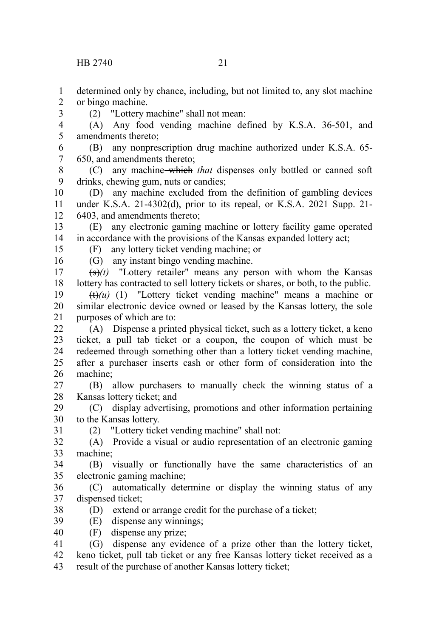determined only by chance, including, but not limited to, any slot machine or bingo machine. 1 2

(2) "Lottery machine" shall not mean:

(A) Any food vending machine defined by K.S.A. 36-501, and amendments thereto; 4 5

(B) any nonprescription drug machine authorized under K.S.A. 65- 650, and amendments thereto; 6 7

(C) any machine which *that* dispenses only bottled or canned soft drinks, chewing gum, nuts or candies; 8 9

(D) any machine excluded from the definition of gambling devices under K.S.A. 21-4302(d), prior to its repeal, or K.S.A. 2021 Supp. 21- 6403, and amendments thereto; 10 11 12

(E) any electronic gaming machine or lottery facility game operated in accordance with the provisions of the Kansas expanded lottery act; 13 14

15 16

31

3

(F) any lottery ticket vending machine; or (G) any instant bingo vending machine.

 $(\frac{\epsilon}{\epsilon})$ (t) "Lottery retailer" means any person with whom the Kansas lottery has contracted to sell lottery tickets or shares, or both, to the public. 17 18

 $(t)$ (u) (1) "Lottery ticket vending machine" means a machine or similar electronic device owned or leased by the Kansas lottery, the sole purposes of which are to: 19 20 21

(A) Dispense a printed physical ticket, such as a lottery ticket, a keno ticket, a pull tab ticket or a coupon, the coupon of which must be redeemed through something other than a lottery ticket vending machine, after a purchaser inserts cash or other form of consideration into the machine; 22 23 24 25 26

(B) allow purchasers to manually check the winning status of a Kansas lottery ticket; and 27 28

(C) display advertising, promotions and other information pertaining to the Kansas lottery. 29 30

(2) "Lottery ticket vending machine" shall not:

(A) Provide a visual or audio representation of an electronic gaming machine; 32 33

(B) visually or functionally have the same characteristics of an electronic gaming machine; 34 35

(C) automatically determine or display the winning status of any dispensed ticket; 36 37

- (D) extend or arrange credit for the purchase of a ticket; 38
- (E) dispense any winnings; 39
- (F) dispense any prize; 40

(G) dispense any evidence of a prize other than the lottery ticket, keno ticket, pull tab ticket or any free Kansas lottery ticket received as a result of the purchase of another Kansas lottery ticket; 41 42 43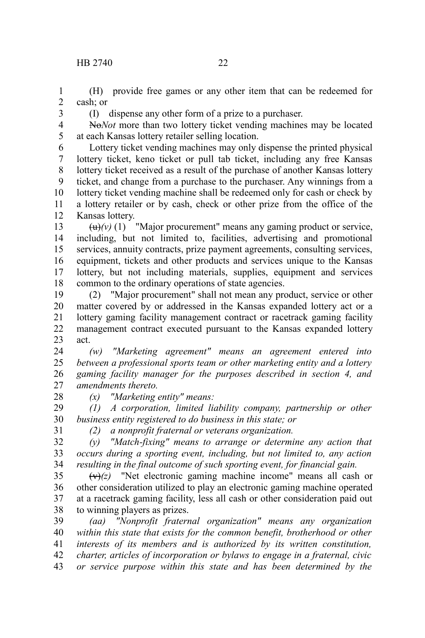(H) provide free games or any other item that can be redeemed for cash; or 1 2

3

(I) dispense any other form of a prize to a purchaser.

No*Not* more than two lottery ticket vending machines may be located at each Kansas lottery retailer selling location. 4 5

Lottery ticket vending machines may only dispense the printed physical lottery ticket, keno ticket or pull tab ticket, including any free Kansas lottery ticket received as a result of the purchase of another Kansas lottery ticket, and change from a purchase to the purchaser. Any winnings from a lottery ticket vending machine shall be redeemed only for cash or check by a lottery retailer or by cash, check or other prize from the office of the Kansas lottery. 6 7 8 9 10 11 12

 $\left(\frac{u}{v}\right)(v)$  (1) "Major procurement" means any gaming product or service, including, but not limited to, facilities, advertising and promotional services, annuity contracts, prize payment agreements, consulting services, equipment, tickets and other products and services unique to the Kansas lottery, but not including materials, supplies, equipment and services common to the ordinary operations of state agencies. 13 14 15 16 17 18

(2) "Major procurement" shall not mean any product, service or other matter covered by or addressed in the Kansas expanded lottery act or a lottery gaming facility management contract or racetrack gaming facility management contract executed pursuant to the Kansas expanded lottery act. 19 20 21 22 23

*(w) "Marketing agreement" means an agreement entered into between a professional sports team or other marketing entity and a lottery gaming facility manager for the purposes described in section 4, and amendments thereto.* 24 25 26 27

28

*(x) "Marketing entity" means:*

*(1) A corporation, limited liability company, partnership or other business entity registered to do business in this state; or* 29 30

31

*(2) a nonprofit fraternal or veterans organization.*

*(y) "Match-fixing" means to arrange or determine any action that occurs during a sporting event, including, but not limited to, any action resulting in the final outcome of such sporting event, for financial gain.* 32 33 34

 $(v)(z)$  "Net electronic gaming machine income" means all cash or other consideration utilized to play an electronic gaming machine operated at a racetrack gaming facility, less all cash or other consideration paid out to winning players as prizes. 35 36 37 38

*(aa) "Nonprofit fraternal organization" means any organization within this state that exists for the common benefit, brotherhood or other interests of its members and is authorized by its written constitution, charter, articles of incorporation or bylaws to engage in a fraternal, civic or service purpose within this state and has been determined by the* 39 40 41 42 43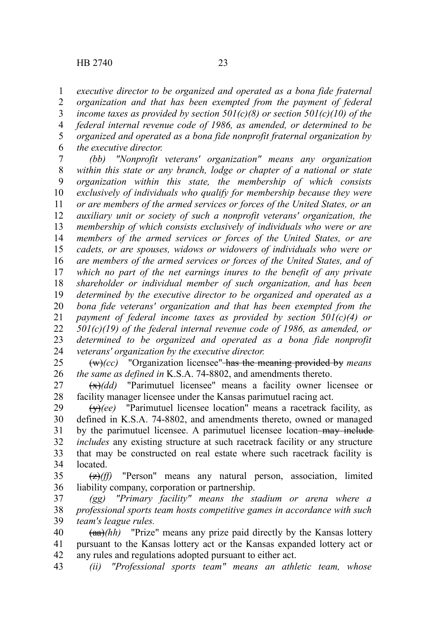*executive director to be organized and operated as a bona fide fraternal organization and that has been exempted from the payment of federal income taxes as provided by section 501(c)(8) or section 501(c)(10) of the federal internal revenue code of 1986, as amended, or determined to be organized and operated as a bona fide nonprofit fraternal organization by the executive director.*  1 2 3 4 5 6

*(bb) "Nonprofit veterans' organization" means any organization within this state or any branch, lodge or chapter of a national or state organization within this state, the membership of which consists exclusively of individuals who qualify for membership because they were or are members of the armed services or forces of the United States, or an auxiliary unit or society of such a nonprofit veterans' organization, the membership of which consists exclusively of individuals who were or are members of the armed services or forces of the United States, or are cadets, or are spouses, widows or widowers of individuals who were or are members of the armed services or forces of the United States, and of which no part of the net earnings inures to the benefit of any private shareholder or individual member of such organization, and has been determined by the executive director to be organized and operated as a bona fide veterans' organization and that has been exempted from the payment of federal income taxes as provided by section 501(c)(4) or 501(c)(19) of the federal internal revenue code of 1986, as amended, or determined to be organized and operated as a bona fide nonprofit veterans' organization by the executive director.* 7 8 9 10 11 12 13 14 15 16 17 18 19 20 21 22 23 24

(w)*(cc)* "Organization licensee" has the meaning provided by *means the same as defined in* K.S.A. 74-8802, and amendments thereto. 25 26

(x)*(dd)* "Parimutuel licensee" means a facility owner licensee or facility manager licensee under the Kansas parimutuel racing act. 27 28

(y)*(ee)* "Parimutuel licensee location" means a racetrack facility, as defined in K.S.A. 74-8802, and amendments thereto, owned or managed by the parimutuel licensee. A parimutuel licensee location may include *includes* any existing structure at such racetrack facility or any structure that may be constructed on real estate where such racetrack facility is located. 29 30 31 32 33 34

(z)*(ff)* "Person" means any natural person, association, limited liability company, corporation or partnership. 35 36

*(gg) "Primary facility" means the stadium or arena where a professional sports team hosts competitive games in accordance with such team's league rules.* 37 38 39

 $(aa)/(hh)$  "Prize" means any prize paid directly by the Kansas lottery pursuant to the Kansas lottery act or the Kansas expanded lottery act or any rules and regulations adopted pursuant to either act. 40 41 42

*(ii) "Professional sports team" means an athletic team, whose* 43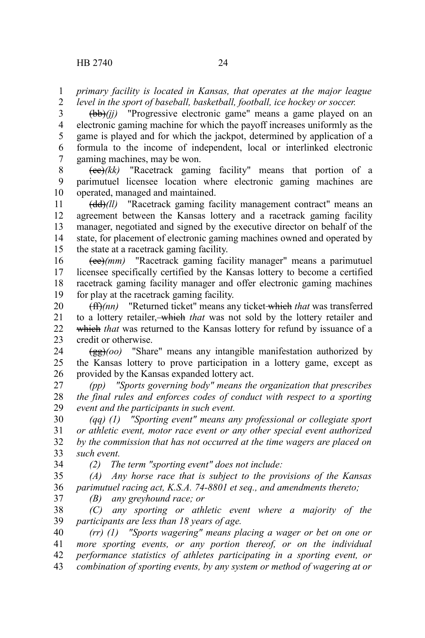*primary facility is located in Kansas, that operates at the major league* 1

*level in the sport of baseball, basketball, football, ice hockey or soccer.* 2

(bb)*(jj)* "Progressive electronic game" means a game played on an electronic gaming machine for which the payoff increases uniformly as the game is played and for which the jackpot, determined by application of a formula to the income of independent, local or interlinked electronic gaming machines, may be won. 3 4 5 6 7

(cc)*(kk)* "Racetrack gaming facility" means that portion of a parimutuel licensee location where electronic gaming machines are operated, managed and maintained. 8 9 10

(dd)*(ll)* "Racetrack gaming facility management contract" means an agreement between the Kansas lottery and a racetrack gaming facility manager, negotiated and signed by the executive director on behalf of the state, for placement of electronic gaming machines owned and operated by the state at a racetrack gaming facility. 11 12 13 14 15

(ee)*(mm)* "Racetrack gaming facility manager" means a parimutuel licensee specifically certified by the Kansas lottery to become a certified racetrack gaming facility manager and offer electronic gaming machines for play at the racetrack gaming facility. 16 17 18 19

(ff)*(nn)* "Returned ticket" means any ticket which *that* was transferred to a lottery retailer, which *that* was not sold by the lottery retailer and which *that* was returned to the Kansas lottery for refund by issuance of a credit or otherwise. 20 21 22 23

(gg)*(oo)* "Share" means any intangible manifestation authorized by the Kansas lottery to prove participation in a lottery game, except as provided by the Kansas expanded lottery act. 24 25 26

*(pp) "Sports governing body" means the organization that prescribes the final rules and enforces codes of conduct with respect to a sporting event and the participants in such event.* 27 28 29

*(qq) (1) "Sporting event" means any professional or collegiate sport or athletic event, motor race event or any other special event authorized by the commission that has not occurred at the time wagers are placed on such event.* 30 31 32 33 34

*(2) The term "sporting event" does not include:*

*(A) Any horse race that is subject to the provisions of the Kansas parimutuel racing act, K.S.A. 74-8801 et seq., and amendments thereto;* 35 36

*(B) any greyhound race; or* 37

*(C) any sporting or athletic event where a majority of the participants are less than 18 years of age.* 38 39

*(rr) (1) "Sports wagering" means placing a wager or bet on one or more sporting events, or any portion thereof, or on the individual performance statistics of athletes participating in a sporting event, or combination of sporting events, by any system or method of wagering at or* 40 41 42 43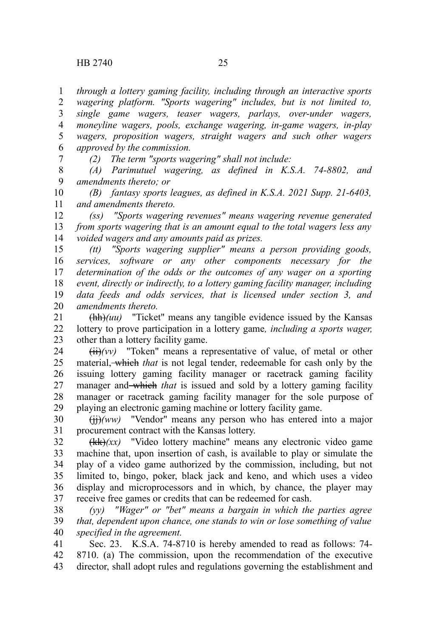*through a lottery gaming facility, including through an interactive sports wagering platform. "Sports wagering" includes, but is not limited to, single game wagers, teaser wagers, parlays, over-under wagers, moneyline wagers, pools, exchange wagering, in-game wagers, in-play wagers, proposition wagers, straight wagers and such other wagers approved by the commission.* 1 2 3 4 5 6

7

*(2) The term "sports wagering" shall not include:*

*(A) Parimutuel wagering, as defined in K.S.A. 74-8802, and amendments thereto; or* 8 9

*(B) fantasy sports leagues, as defined in K.S.A. 2021 Supp. 21-6403, and amendments thereto.* 10 11

*(ss) "Sports wagering revenues" means wagering revenue generated from sports wagering that is an amount equal to the total wagers less any voided wagers and any amounts paid as prizes.* 12 13 14

*(tt) "Sports wagering supplier" means a person providing goods, services, software or any other components necessary for the determination of the odds or the outcomes of any wager on a sporting event, directly or indirectly, to a lottery gaming facility manager, including data feeds and odds services, that is licensed under section 3, and amendments thereto.* 15 16 17 18 19 20

(hh)*(uu)* "Ticket" means any tangible evidence issued by the Kansas lottery to prove participation in a lottery game*, including a sports wager,* other than a lottery facility game. 21 22 23

(ii)*(vv)* "Token" means a representative of value, of metal or other material, which *that* is not legal tender, redeemable for cash only by the issuing lottery gaming facility manager or racetrack gaming facility manager and which *that* is issued and sold by a lottery gaming facility manager or racetrack gaming facility manager for the sole purpose of playing an electronic gaming machine or lottery facility game. 24 25 26 27 28 29

(jj)*(ww)* "Vendor" means any person who has entered into a major procurement contract with the Kansas lottery. 30 31

(kk)*(xx)* "Video lottery machine" means any electronic video game machine that, upon insertion of cash, is available to play or simulate the play of a video game authorized by the commission, including, but not limited to, bingo, poker, black jack and keno, and which uses a video display and microprocessors and in which, by chance, the player may receive free games or credits that can be redeemed for cash. 32 33 34 35 36 37

*(yy) "Wager" or "bet" means a bargain in which the parties agree that, dependent upon chance, one stands to win or lose something of value specified in the agreement.* 38 39 40

Sec. 23. K.S.A. 74-8710 is hereby amended to read as follows: 74- 8710. (a) The commission, upon the recommendation of the executive director, shall adopt rules and regulations governing the establishment and 41 42 43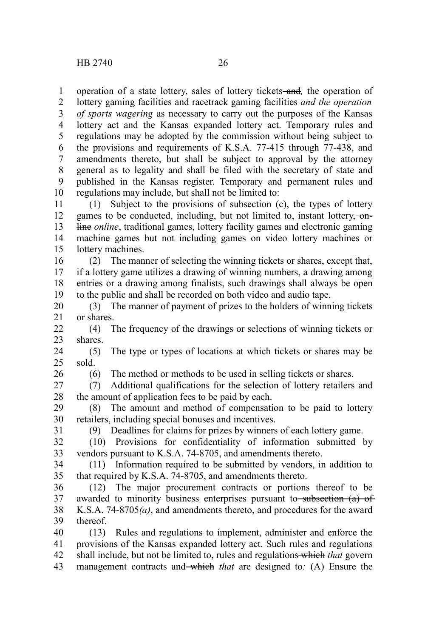operation of a state lottery, sales of lottery tickets-and, the operation of lottery gaming facilities and racetrack gaming facilities *and the operation of sports wagering* as necessary to carry out the purposes of the Kansas lottery act and the Kansas expanded lottery act. Temporary rules and regulations may be adopted by the commission without being subject to the provisions and requirements of K.S.A. 77-415 through 77-438, and amendments thereto, but shall be subject to approval by the attorney general as to legality and shall be filed with the secretary of state and published in the Kansas register. Temporary and permanent rules and regulations may include, but shall not be limited to: 1 2 3 4 5 6 7 8 9 10

(1) Subject to the provisions of subsection (c), the types of lottery games to be conducted, including, but not limited to, instant lottery, -online *online*, traditional games, lottery facility games and electronic gaming machine games but not including games on video lottery machines or lottery machines. 11 12 13 14 15

(2) The manner of selecting the winning tickets or shares, except that, if a lottery game utilizes a drawing of winning numbers, a drawing among entries or a drawing among finalists, such drawings shall always be open to the public and shall be recorded on both video and audio tape. 16 17 18 19

(3) The manner of payment of prizes to the holders of winning tickets or shares. 20 21

(4) The frequency of the drawings or selections of winning tickets or shares.  $22$ 23

(5) The type or types of locations at which tickets or shares may be sold. 24 25

26

(6) The method or methods to be used in selling tickets or shares.

(7) Additional qualifications for the selection of lottery retailers and the amount of application fees to be paid by each. 27 28

(8) The amount and method of compensation to be paid to lottery retailers, including special bonuses and incentives. 29 30

31

(9) Deadlines for claims for prizes by winners of each lottery game.

(10) Provisions for confidentiality of information submitted by vendors pursuant to K.S.A. 74-8705, and amendments thereto. 32 33

(11) Information required to be submitted by vendors, in addition to that required by K.S.A. 74-8705, and amendments thereto. 34 35

(12) The major procurement contracts or portions thereof to be awarded to minority business enterprises pursuant to subsection (a) of K.S.A. 74-8705*(a)*, and amendments thereto, and procedures for the award thereof. 36 37 38 39

(13) Rules and regulations to implement, administer and enforce the provisions of the Kansas expanded lottery act. Such rules and regulations shall include, but not be limited to, rules and regulations which *that* govern management contracts and which *that* are designed to*:* (A) Ensure the 40 41 42 43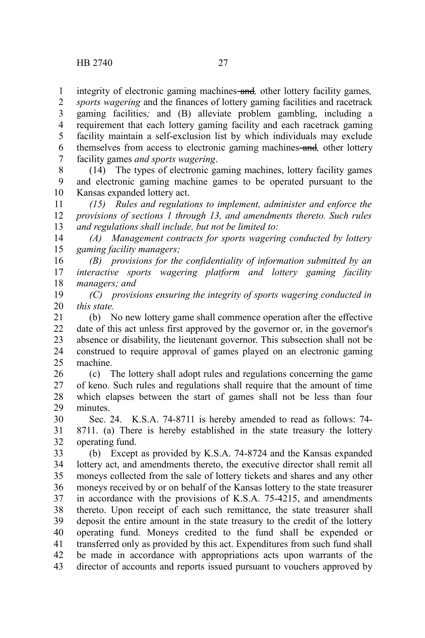integrity of electronic gaming machines and*,* other lottery facility games*,* 1

*sports wagering* and the finances of lottery gaming facilities and racetrack gaming facilities*;* and (B) alleviate problem gambling, including a requirement that each lottery gaming facility and each racetrack gaming facility maintain a self-exclusion list by which individuals may exclude themselves from access to electronic gaming machines and*,* other lottery facility games *and sports wagering*. 2 3 4 5 6 7

(14) The types of electronic gaming machines, lottery facility games and electronic gaming machine games to be operated pursuant to the Kansas expanded lottery act. 8 9 10

*(15) Rules and regulations to implement, administer and enforce the provisions of sections 1 through 13, and amendments thereto. Such rules and regulations shall include, but not be limited to:* 11 12 13

*(A) Management contracts for sports wagering conducted by lottery gaming facility managers;* 14 15

*(B) provisions for the confidentiality of information submitted by an interactive sports wagering platform and lottery gaming facility managers; and* 16 17 18

*(C) provisions ensuring the integrity of sports wagering conducted in this state.* 19 20

(b) No new lottery game shall commence operation after the effective date of this act unless first approved by the governor or, in the governor's absence or disability, the lieutenant governor. This subsection shall not be construed to require approval of games played on an electronic gaming machine. 21 22 23 24 25

(c) The lottery shall adopt rules and regulations concerning the game of keno. Such rules and regulations shall require that the amount of time which elapses between the start of games shall not be less than four minutes. 26 27 28 29

Sec. 24. K.S.A. 74-8711 is hereby amended to read as follows: 74- 8711. (a) There is hereby established in the state treasury the lottery operating fund. 30 31 32

(b) Except as provided by K.S.A. 74-8724 and the Kansas expanded lottery act, and amendments thereto, the executive director shall remit all moneys collected from the sale of lottery tickets and shares and any other moneys received by or on behalf of the Kansas lottery to the state treasurer in accordance with the provisions of K.S.A. 75-4215, and amendments thereto. Upon receipt of each such remittance, the state treasurer shall deposit the entire amount in the state treasury to the credit of the lottery operating fund. Moneys credited to the fund shall be expended or transferred only as provided by this act. Expenditures from such fund shall be made in accordance with appropriations acts upon warrants of the director of accounts and reports issued pursuant to vouchers approved by 33 34 35 36 37 38 39 40 41 42 43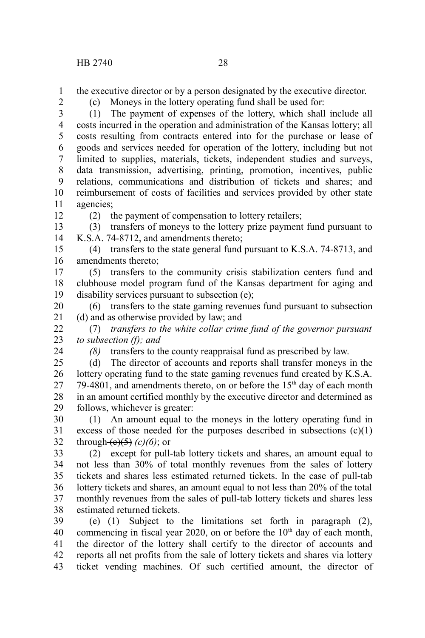the executive director or by a person designated by the executive director. 1

2

(c) Moneys in the lottery operating fund shall be used for:

(1) The payment of expenses of the lottery, which shall include all costs incurred in the operation and administration of the Kansas lottery; all costs resulting from contracts entered into for the purchase or lease of goods and services needed for operation of the lottery, including but not limited to supplies, materials, tickets, independent studies and surveys, data transmission, advertising, printing, promotion, incentives, public relations, communications and distribution of tickets and shares; and reimbursement of costs of facilities and services provided by other state agencies; 3 4 5 6 7 8 9 10 11

12

(2) the payment of compensation to lottery retailers;

(3) transfers of moneys to the lottery prize payment fund pursuant to K.S.A. 74-8712, and amendments thereto; 13 14

(4) transfers to the state general fund pursuant to K.S.A. 74-8713, and amendments thereto; 15 16

(5) transfers to the community crisis stabilization centers fund and clubhouse model program fund of the Kansas department for aging and disability services pursuant to subsection (e); 17 18 19

(6) transfers to the state gaming revenues fund pursuant to subsection (d) and as otherwise provided by law; and 20 21

(7) *transfers to the white collar crime fund of the governor pursuant to subsection (f); and* 22 23

24

*(8)* transfers to the county reappraisal fund as prescribed by law.

(d) The director of accounts and reports shall transfer moneys in the lottery operating fund to the state gaming revenues fund created by K.S.A. 79-4801, and amendments thereto, on or before the  $15<sup>th</sup>$  day of each month in an amount certified monthly by the executive director and determined as follows, whichever is greater: 25 26 27 28 29

(1) An amount equal to the moneys in the lottery operating fund in excess of those needed for the purposes described in subsections  $(c)(1)$ through  $(e)(5)$   $(c)(6)$ ; or 30 31 32

(2) except for pull-tab lottery tickets and shares, an amount equal to not less than 30% of total monthly revenues from the sales of lottery tickets and shares less estimated returned tickets. In the case of pull-tab lottery tickets and shares, an amount equal to not less than 20% of the total monthly revenues from the sales of pull-tab lottery tickets and shares less estimated returned tickets. 33 34 35 36 37 38

(e) (1) Subject to the limitations set forth in paragraph (2), commencing in fiscal year 2020, on or before the 10<sup>th</sup> day of each month, the director of the lottery shall certify to the director of accounts and reports all net profits from the sale of lottery tickets and shares via lottery ticket vending machines. Of such certified amount, the director of 39 40 41 42 43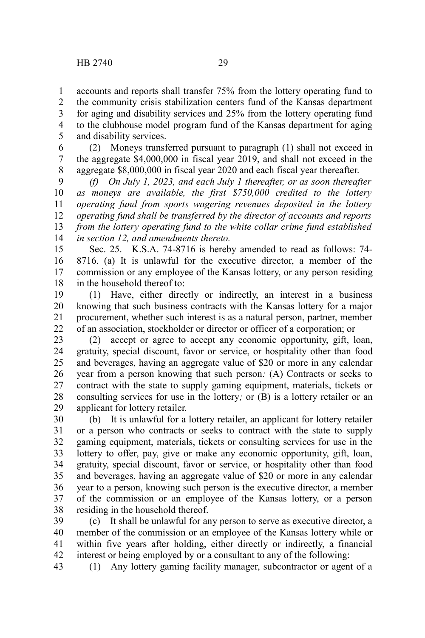43

accounts and reports shall transfer 75% from the lottery operating fund to the community crisis stabilization centers fund of the Kansas department for aging and disability services and 25% from the lottery operating fund to the clubhouse model program fund of the Kansas department for aging and disability services. 1 2 3 4 5

(2) Moneys transferred pursuant to paragraph (1) shall not exceed in the aggregate \$4,000,000 in fiscal year 2019, and shall not exceed in the aggregate \$8,000,000 in fiscal year 2020 and each fiscal year thereafter. 6 7 8

*(f) On July 1, 2023, and each July 1 thereafter, or as soon thereafter as moneys are available, the first \$750,000 credited to the lottery operating fund from sports wagering revenues deposited in the lottery operating fund shall be transferred by the director of accounts and reports from the lottery operating fund to the white collar crime fund established in section 12, and amendments thereto.* 9 10 11 12 13 14

Sec. 25. K.S.A. 74-8716 is hereby amended to read as follows: 74- 8716. (a) It is unlawful for the executive director, a member of the commission or any employee of the Kansas lottery, or any person residing in the household thereof to: 15 16 17 18

(1) Have, either directly or indirectly, an interest in a business knowing that such business contracts with the Kansas lottery for a major procurement, whether such interest is as a natural person, partner, member of an association, stockholder or director or officer of a corporation; or 19 20 21 22

(2) accept or agree to accept any economic opportunity, gift, loan, gratuity, special discount, favor or service, or hospitality other than food and beverages, having an aggregate value of \$20 or more in any calendar year from a person knowing that such person*:* (A) Contracts or seeks to contract with the state to supply gaming equipment, materials, tickets or consulting services for use in the lottery*;* or (B) is a lottery retailer or an applicant for lottery retailer. 23 24 25 26 27 28 29

(b) It is unlawful for a lottery retailer, an applicant for lottery retailer or a person who contracts or seeks to contract with the state to supply gaming equipment, materials, tickets or consulting services for use in the lottery to offer, pay, give or make any economic opportunity, gift, loan, gratuity, special discount, favor or service, or hospitality other than food and beverages, having an aggregate value of \$20 or more in any calendar year to a person, knowing such person is the executive director, a member of the commission or an employee of the Kansas lottery, or a person residing in the household thereof. 30 31 32 33 34 35 36 37 38

(c) It shall be unlawful for any person to serve as executive director, a member of the commission or an employee of the Kansas lottery while or within five years after holding, either directly or indirectly, a financial interest or being employed by or a consultant to any of the following: 39 40 41 42

(1) Any lottery gaming facility manager, subcontractor or agent of a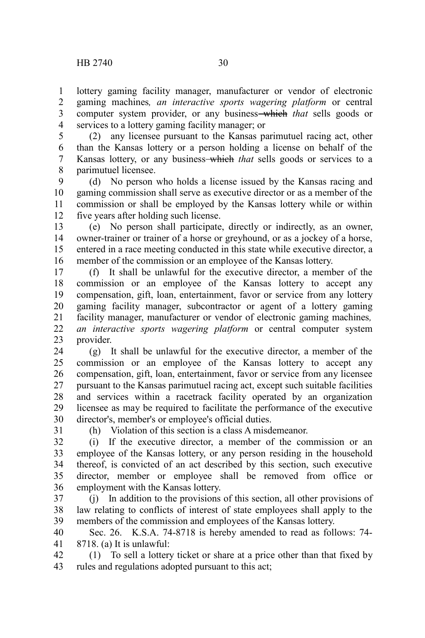lottery gaming facility manager, manufacturer or vendor of electronic gaming machines*, an interactive sports wagering platform* or central computer system provider, or any business which *that* sells goods or services to a lottery gaming facility manager; or 1 2 3 4

(2) any licensee pursuant to the Kansas parimutuel racing act, other than the Kansas lottery or a person holding a license on behalf of the Kansas lottery, or any business-which *that* sells goods or services to a parimutuel licensee. 5 6 7 8

(d) No person who holds a license issued by the Kansas racing and gaming commission shall serve as executive director or as a member of the commission or shall be employed by the Kansas lottery while or within five years after holding such license. 9 10 11 12

(e) No person shall participate, directly or indirectly, as an owner, owner-trainer or trainer of a horse or greyhound, or as a jockey of a horse, entered in a race meeting conducted in this state while executive director, a member of the commission or an employee of the Kansas lottery. 13 14 15 16

(f) It shall be unlawful for the executive director, a member of the commission or an employee of the Kansas lottery to accept any compensation, gift, loan, entertainment, favor or service from any lottery gaming facility manager, subcontractor or agent of a lottery gaming facility manager, manufacturer or vendor of electronic gaming machines*, an interactive sports wagering platform* or central computer system provider. 17 18 19 20 21 22 23

(g) It shall be unlawful for the executive director, a member of the commission or an employee of the Kansas lottery to accept any compensation, gift, loan, entertainment, favor or service from any licensee pursuant to the Kansas parimutuel racing act, except such suitable facilities and services within a racetrack facility operated by an organization licensee as may be required to facilitate the performance of the executive director's, member's or employee's official duties. 24 25 26 27 28 29 30

31

(h) Violation of this section is a class A misdemeanor.

(i) If the executive director, a member of the commission or an employee of the Kansas lottery, or any person residing in the household thereof, is convicted of an act described by this section, such executive director, member or employee shall be removed from office or employment with the Kansas lottery. 32 33 34 35 36

(j) In addition to the provisions of this section, all other provisions of law relating to conflicts of interest of state employees shall apply to the members of the commission and employees of the Kansas lottery. 37 38 39

Sec. 26. K.S.A. 74-8718 is hereby amended to read as follows: 74- 8718. (a) It is unlawful: 40 41

(1) To sell a lottery ticket or share at a price other than that fixed by rules and regulations adopted pursuant to this act; 42 43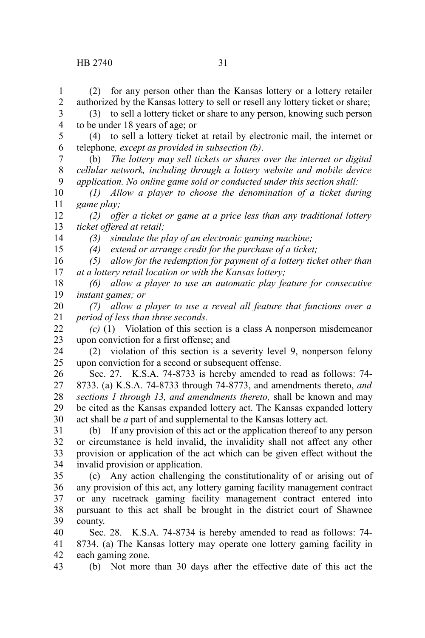## HB 2740 31

to be under 18 years of age; or

telephone*, except as provided in subsection (b)*.

(2) for any person other than the Kansas lottery or a lottery retailer authorized by the Kansas lottery to sell or resell any lottery ticket or share; (3) to sell a lottery ticket or share to any person, knowing such person

(4) to sell a lottery ticket at retail by electronic mail, the internet or

(b) *The lottery may sell tickets or shares over the internet or digital*

*cellular network, including through a lottery website and mobile device application. No online game sold or conducted under this section shall: (1) Allow a player to choose the denomination of a ticket during game play; (2) offer a ticket or game at a price less than any traditional lottery ticket offered at retail; (3) simulate the play of an electronic gaming machine; (4) extend or arrange credit for the purchase of a ticket; (5) allow for the redemption for payment of a lottery ticket other than at a lottery retail location or with the Kansas lottery; (6) allow a player to use an automatic play feature for consecutive instant games; or (7) allow a player to use a reveal all feature that functions over a period of less than three seconds. (c)* (1) Violation of this section is a class A nonperson misdemeanor upon conviction for a first offense; and (2) violation of this section is a severity level 9, nonperson felony upon conviction for a second or subsequent offense. Sec. 27. K.S.A. 74-8733 is hereby amended to read as follows: 74- 8733. (a) K.S.A. 74-8733 through 74-8773, and amendments thereto, *and sections 1 through 13, and amendments thereto,* shall be known and may be cited as the Kansas expanded lottery act. The Kansas expanded lottery act shall be *a* part of and supplemental to the Kansas lottery act. (b) If any provision of this act or the application thereof to any person or circumstance is held invalid, the invalidity shall not affect any other provision or application of the act which can be given effect without the invalid provision or application. (c) Any action challenging the constitutionality of or arising out of any provision of this act, any lottery gaming facility management contract or any racetrack gaming facility management contract entered into pursuant to this act shall be brought in the district court of Shawnee county. Sec. 28. K.S.A. 74-8734 is hereby amended to read as follows: 74- 8734. (a) The Kansas lottery may operate one lottery gaming facility in 8 9 10 11 12 13 14 15 16 17 18 19 20 21 22 23 24 25 26 27 28 29 30 31 32 33 34 35 36 37 38 39 40 41

each gaming zone. 42

(b) Not more than 30 days after the effective date of this act the 43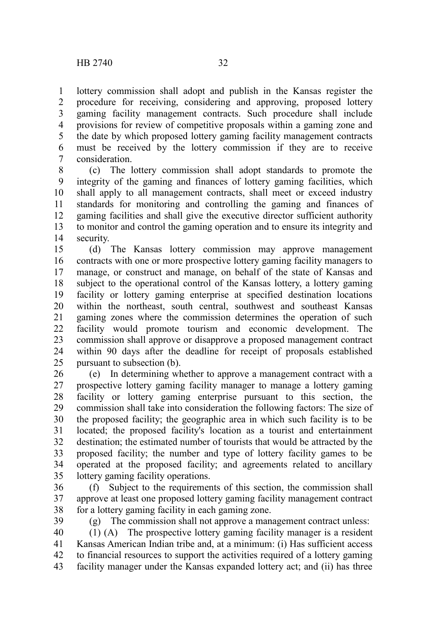lottery commission shall adopt and publish in the Kansas register the procedure for receiving, considering and approving, proposed lottery gaming facility management contracts. Such procedure shall include provisions for review of competitive proposals within a gaming zone and the date by which proposed lottery gaming facility management contracts must be received by the lottery commission if they are to receive consideration. 1 2 3 4 5 6 7

(c) The lottery commission shall adopt standards to promote the integrity of the gaming and finances of lottery gaming facilities, which shall apply to all management contracts, shall meet or exceed industry standards for monitoring and controlling the gaming and finances of gaming facilities and shall give the executive director sufficient authority to monitor and control the gaming operation and to ensure its integrity and security. 8 9 10 11 12 13 14

(d) The Kansas lottery commission may approve management contracts with one or more prospective lottery gaming facility managers to manage, or construct and manage, on behalf of the state of Kansas and subject to the operational control of the Kansas lottery, a lottery gaming facility or lottery gaming enterprise at specified destination locations within the northeast, south central, southwest and southeast Kansas gaming zones where the commission determines the operation of such facility would promote tourism and economic development. The commission shall approve or disapprove a proposed management contract within 90 days after the deadline for receipt of proposals established pursuant to subsection (b). 15 16 17 18 19 20 21 22 23 24 25

(e) In determining whether to approve a management contract with a prospective lottery gaming facility manager to manage a lottery gaming facility or lottery gaming enterprise pursuant to this section, the commission shall take into consideration the following factors: The size of the proposed facility; the geographic area in which such facility is to be located; the proposed facility's location as a tourist and entertainment destination; the estimated number of tourists that would be attracted by the proposed facility; the number and type of lottery facility games to be operated at the proposed facility; and agreements related to ancillary lottery gaming facility operations. 26 27 28 29 30 31 32 33 34 35

(f) Subject to the requirements of this section, the commission shall approve at least one proposed lottery gaming facility management contract for a lottery gaming facility in each gaming zone. 36 37 38

39

(g) The commission shall not approve a management contract unless:

(1) (A) The prospective lottery gaming facility manager is a resident Kansas American Indian tribe and, at a minimum: (i) Has sufficient access to financial resources to support the activities required of a lottery gaming facility manager under the Kansas expanded lottery act; and (ii) has three 40 41 42 43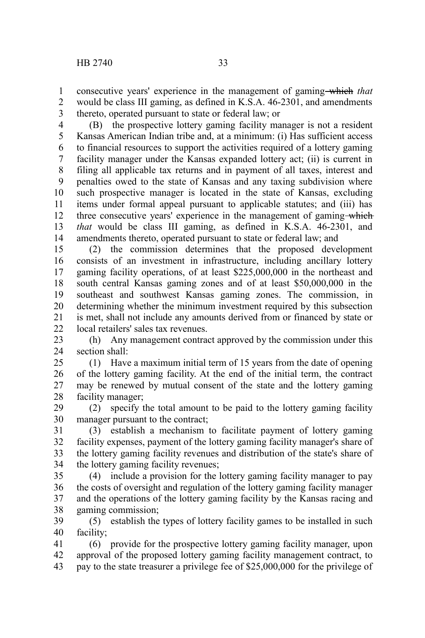consecutive years' experience in the management of gaming which *that* would be class III gaming, as defined in K.S.A. 46-2301, and amendments thereto, operated pursuant to state or federal law; or 1 2 3

(B) the prospective lottery gaming facility manager is not a resident Kansas American Indian tribe and, at a minimum: (i) Has sufficient access to financial resources to support the activities required of a lottery gaming facility manager under the Kansas expanded lottery act; (ii) is current in filing all applicable tax returns and in payment of all taxes, interest and penalties owed to the state of Kansas and any taxing subdivision where such prospective manager is located in the state of Kansas, excluding items under formal appeal pursuant to applicable statutes; and (iii) has three consecutive years' experience in the management of gaming which *that* would be class III gaming, as defined in K.S.A. 46-2301, and amendments thereto, operated pursuant to state or federal law; and 4 5 6 7 8 9 10 11 12 13 14

(2) the commission determines that the proposed development consists of an investment in infrastructure, including ancillary lottery gaming facility operations, of at least \$225,000,000 in the northeast and south central Kansas gaming zones and of at least \$50,000,000 in the southeast and southwest Kansas gaming zones. The commission, in determining whether the minimum investment required by this subsection is met, shall not include any amounts derived from or financed by state or local retailers' sales tax revenues. 15 16 17 18 19 20 21 22

(h) Any management contract approved by the commission under this section shall: 23 24

(1) Have a maximum initial term of 15 years from the date of opening of the lottery gaming facility. At the end of the initial term, the contract may be renewed by mutual consent of the state and the lottery gaming facility manager; 25 26 27 28

(2) specify the total amount to be paid to the lottery gaming facility manager pursuant to the contract; 29 30

(3) establish a mechanism to facilitate payment of lottery gaming facility expenses, payment of the lottery gaming facility manager's share of the lottery gaming facility revenues and distribution of the state's share of the lottery gaming facility revenues; 31 32 33 34

(4) include a provision for the lottery gaming facility manager to pay the costs of oversight and regulation of the lottery gaming facility manager and the operations of the lottery gaming facility by the Kansas racing and gaming commission; 35 36 37 38

(5) establish the types of lottery facility games to be installed in such facility; 39 40

(6) provide for the prospective lottery gaming facility manager, upon approval of the proposed lottery gaming facility management contract, to pay to the state treasurer a privilege fee of \$25,000,000 for the privilege of 41 42 43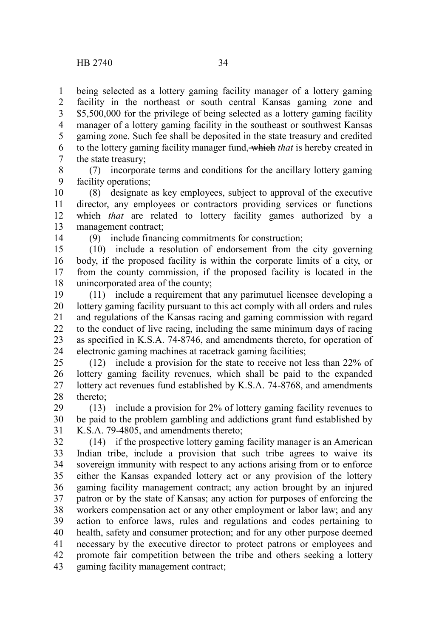being selected as a lottery gaming facility manager of a lottery gaming facility in the northeast or south central Kansas gaming zone and \$5,500,000 for the privilege of being selected as a lottery gaming facility manager of a lottery gaming facility in the southeast or southwest Kansas gaming zone. Such fee shall be deposited in the state treasury and credited to the lottery gaming facility manager fund, which *that* is hereby created in the state treasury; 1 2 3 4 5 6 7

8

(7) incorporate terms and conditions for the ancillary lottery gaming facility operations; 9

(8) designate as key employees, subject to approval of the executive director, any employees or contractors providing services or functions which that are related to lottery facility games authorized by a management contract; 10 11 12 13

14

(9) include financing commitments for construction;

(10) include a resolution of endorsement from the city governing body, if the proposed facility is within the corporate limits of a city, or from the county commission, if the proposed facility is located in the unincorporated area of the county; 15 16 17 18

(11) include a requirement that any parimutuel licensee developing a lottery gaming facility pursuant to this act comply with all orders and rules and regulations of the Kansas racing and gaming commission with regard to the conduct of live racing, including the same minimum days of racing as specified in K.S.A. 74-8746, and amendments thereto, for operation of electronic gaming machines at racetrack gaming facilities; 19 20 21 22 23 24

(12) include a provision for the state to receive not less than 22% of lottery gaming facility revenues, which shall be paid to the expanded lottery act revenues fund established by K.S.A. 74-8768, and amendments thereto; 25 26 27 28

(13) include a provision for 2% of lottery gaming facility revenues to be paid to the problem gambling and addictions grant fund established by K.S.A. 79-4805, and amendments thereto; 29 30 31

(14) if the prospective lottery gaming facility manager is an American Indian tribe, include a provision that such tribe agrees to waive its sovereign immunity with respect to any actions arising from or to enforce either the Kansas expanded lottery act or any provision of the lottery gaming facility management contract; any action brought by an injured patron or by the state of Kansas; any action for purposes of enforcing the workers compensation act or any other employment or labor law; and any action to enforce laws, rules and regulations and codes pertaining to health, safety and consumer protection; and for any other purpose deemed necessary by the executive director to protect patrons or employees and promote fair competition between the tribe and others seeking a lottery gaming facility management contract; 32 33 34 35 36 37 38 39 40 41 42 43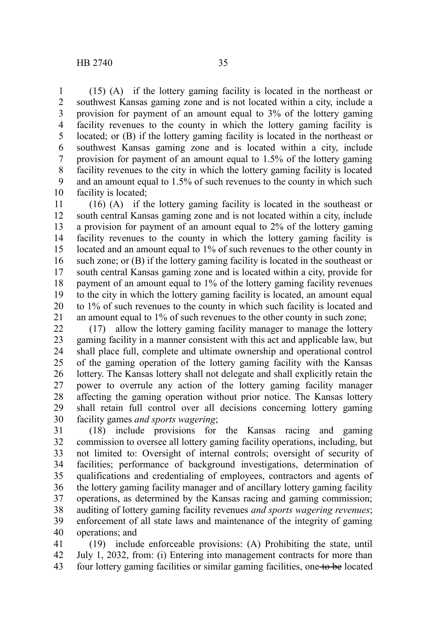(15) (A) if the lottery gaming facility is located in the northeast or southwest Kansas gaming zone and is not located within a city, include a provision for payment of an amount equal to 3% of the lottery gaming facility revenues to the county in which the lottery gaming facility is located; or (B) if the lottery gaming facility is located in the northeast or southwest Kansas gaming zone and is located within a city, include provision for payment of an amount equal to 1.5% of the lottery gaming facility revenues to the city in which the lottery gaming facility is located and an amount equal to 1.5% of such revenues to the county in which such facility is located; 1 2 3 4 5 6 7 8 9 10

(16) (A) if the lottery gaming facility is located in the southeast or south central Kansas gaming zone and is not located within a city, include a provision for payment of an amount equal to 2% of the lottery gaming facility revenues to the county in which the lottery gaming facility is located and an amount equal to 1% of such revenues to the other county in such zone; or (B) if the lottery gaming facility is located in the southeast or south central Kansas gaming zone and is located within a city, provide for payment of an amount equal to 1% of the lottery gaming facility revenues to the city in which the lottery gaming facility is located, an amount equal to 1% of such revenues to the county in which such facility is located and an amount equal to 1% of such revenues to the other county in such zone; 11 12 13 14 15 16 17 18 19 20 21

(17) allow the lottery gaming facility manager to manage the lottery gaming facility in a manner consistent with this act and applicable law, but shall place full, complete and ultimate ownership and operational control of the gaming operation of the lottery gaming facility with the Kansas lottery. The Kansas lottery shall not delegate and shall explicitly retain the power to overrule any action of the lottery gaming facility manager affecting the gaming operation without prior notice. The Kansas lottery shall retain full control over all decisions concerning lottery gaming facility games *and sports wagering*; 22 23 24 25 26 27 28 29 30

(18) include provisions for the Kansas racing and gaming commission to oversee all lottery gaming facility operations, including, but not limited to: Oversight of internal controls; oversight of security of facilities; performance of background investigations, determination of qualifications and credentialing of employees, contractors and agents of the lottery gaming facility manager and of ancillary lottery gaming facility operations, as determined by the Kansas racing and gaming commission; auditing of lottery gaming facility revenues *and sports wagering revenues*; enforcement of all state laws and maintenance of the integrity of gaming operations; and 31 32 33 34 35 36 37 38 39 40

(19) include enforceable provisions: (A) Prohibiting the state, until July 1, 2032, from: (i) Entering into management contracts for more than four lottery gaming facilities or similar gaming facilities, one to be located 41 42 43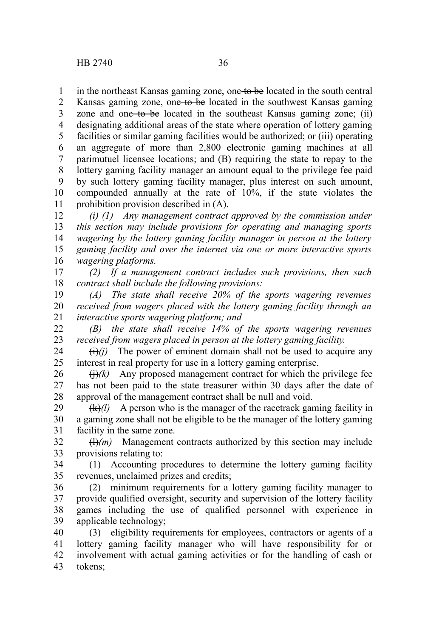in the northeast Kansas gaming zone, one to be located in the south central 1

Kansas gaming zone, one to be located in the southwest Kansas gaming zone and one to be located in the southeast Kansas gaming zone; (ii) designating additional areas of the state where operation of lottery gaming facilities or similar gaming facilities would be authorized; or (iii) operating an aggregate of more than 2,800 electronic gaming machines at all parimutuel licensee locations; and (B) requiring the state to repay to the lottery gaming facility manager an amount equal to the privilege fee paid by such lottery gaming facility manager, plus interest on such amount, compounded annually at the rate of 10%, if the state violates the prohibition provision described in (A). 2 3 4 5 6 7 8 9 10 11

*(i) (1) Any management contract approved by the commission under this section may include provisions for operating and managing sports wagering by the lottery gaming facility manager in person at the lottery gaming facility and over the internet via one or more interactive sports wagering platforms.* 12 13 14 15 16

*(2) If a management contract includes such provisions, then such contract shall include the following provisions:* 17 18

*(A) The state shall receive 20% of the sports wagering revenues received from wagers placed with the lottery gaming facility through an interactive sports wagering platform; and* 19 20 21

*(B) the state shall receive 14% of the sports wagering revenues received from wagers placed in person at the lottery gaming facility.* 22 23

 $\overrightarrow{(i)}$ *(i)* The power of eminent domain shall not be used to acquire any interest in real property for use in a lottery gaming enterprise. 24 25

 $\Theta(k)$  Any proposed management contract for which the privilege fee has not been paid to the state treasurer within 30 days after the date of approval of the management contract shall be null and void. 26 27 28

(k)*(l)* A person who is the manager of the racetrack gaming facility in a gaming zone shall not be eligible to be the manager of the lottery gaming facility in the same zone. 29 30 31

 $(H)(m)$  Management contracts authorized by this section may include provisions relating to: 32 33

(1) Accounting procedures to determine the lottery gaming facility revenues, unclaimed prizes and credits; 34 35

(2) minimum requirements for a lottery gaming facility manager to provide qualified oversight, security and supervision of the lottery facility games including the use of qualified personnel with experience in applicable technology; 36 37 38 39

(3) eligibility requirements for employees, contractors or agents of a lottery gaming facility manager who will have responsibility for or involvement with actual gaming activities or for the handling of cash or tokens; 40 41 42 43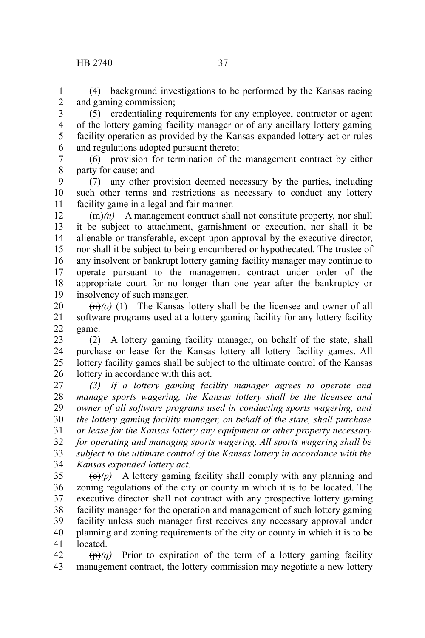## HB 2740 37

(4) background investigations to be performed by the Kansas racing and gaming commission; 1 2

(5) credentialing requirements for any employee, contractor or agent of the lottery gaming facility manager or of any ancillary lottery gaming facility operation as provided by the Kansas expanded lottery act or rules and regulations adopted pursuant thereto; 3 4 5 6

(6) provision for termination of the management contract by either party for cause; and 7 8

(7) any other provision deemed necessary by the parties, including such other terms and restrictions as necessary to conduct any lottery facility game in a legal and fair manner. 9 10 11

 $\overline{(m)}$ (*n*) A management contract shall not constitute property, nor shall it be subject to attachment, garnishment or execution, nor shall it be alienable or transferable, except upon approval by the executive director, nor shall it be subject to being encumbered or hypothecated. The trustee of any insolvent or bankrupt lottery gaming facility manager may continue to operate pursuant to the management contract under order of the appropriate court for no longer than one year after the bankruptcy or insolvency of such manager. 12 13 14 15 16 17 18 19

 $\left(\frac{m}{o}\right)$  (1) The Kansas lottery shall be the licensee and owner of all software programs used at a lottery gaming facility for any lottery facility game. 20 21 22

(2) A lottery gaming facility manager, on behalf of the state, shall purchase or lease for the Kansas lottery all lottery facility games. All lottery facility games shall be subject to the ultimate control of the Kansas lottery in accordance with this act. 23 24 25 26

*(3) If a lottery gaming facility manager agrees to operate and manage sports wagering, the Kansas lottery shall be the licensee and owner of all software programs used in conducting sports wagering, and the lottery gaming facility manager, on behalf of the state, shall purchase or lease for the Kansas lottery any equipment or other property necessary for operating and managing sports wagering. All sports wagering shall be subject to the ultimate control of the Kansas lottery in accordance with the Kansas expanded lottery act.* 27 28 29 30 31 32 33 34

 $\left(\Theta\right)(p)$  A lottery gaming facility shall comply with any planning and zoning regulations of the city or county in which it is to be located. The executive director shall not contract with any prospective lottery gaming facility manager for the operation and management of such lottery gaming facility unless such manager first receives any necessary approval under planning and zoning requirements of the city or county in which it is to be located. 35 36 37 38 39 40 41

 $(\theta)$  Prior to expiration of the term of a lottery gaming facility management contract, the lottery commission may negotiate a new lottery 42 43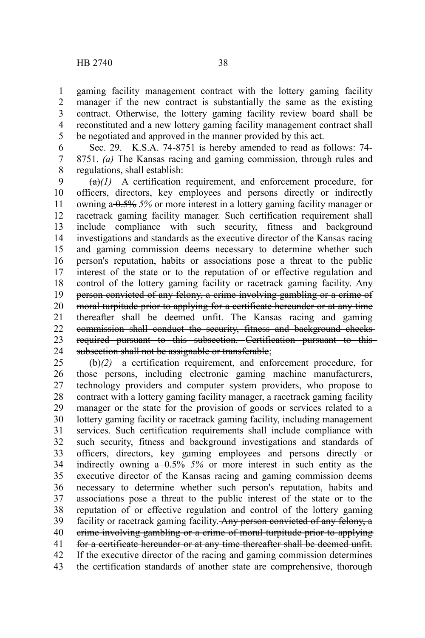gaming facility management contract with the lottery gaming facility manager if the new contract is substantially the same as the existing contract. Otherwise, the lottery gaming facility review board shall be reconstituted and a new lottery gaming facility management contract shall be negotiated and approved in the manner provided by this act. 1 2 3 4 5

Sec. 29. K.S.A. 74-8751 is hereby amended to read as follows: 74- 8751. *(a)* The Kansas racing and gaming commission, through rules and regulations, shall establish: 6 7 8

 $(a)(1)$  A certification requirement, and enforcement procedure, for officers, directors, key employees and persons directly or indirectly owning a 0.5% *5%* or more interest in a lottery gaming facility manager or racetrack gaming facility manager. Such certification requirement shall include compliance with such security, fitness and background investigations and standards as the executive director of the Kansas racing and gaming commission deems necessary to determine whether such person's reputation, habits or associations pose a threat to the public interest of the state or to the reputation of or effective regulation and control of the lottery gaming facility or racetrack gaming facility. Any person convicted of any felony, a crime involving gambling or a crime of moral turpitude prior to applying for a certificate hereunder or at any time thereafter shall be deemed unfit. The Kansas racing and gaming commission shall conduct the security, fitness and background checks required pursuant to this subsection. Certification pursuant to this subsection shall not be assignable or transferable; 9 10 11 12 13 14 15 16 17 18 19 20 21 22 23 24

(b)*(2)* a certification requirement, and enforcement procedure, for those persons, including electronic gaming machine manufacturers, technology providers and computer system providers, who propose to contract with a lottery gaming facility manager, a racetrack gaming facility manager or the state for the provision of goods or services related to a lottery gaming facility or racetrack gaming facility, including management services. Such certification requirements shall include compliance with such security, fitness and background investigations and standards of officers, directors, key gaming employees and persons directly or indirectly owning a 0.5% *5%* or more interest in such entity as the executive director of the Kansas racing and gaming commission deems necessary to determine whether such person's reputation, habits and associations pose a threat to the public interest of the state or to the reputation of or effective regulation and control of the lottery gaming facility or racetrack gaming facility. Any person convicted of any felony, a crime involving gambling or a crime of moral turpitude prior to applying for a certificate hereunder or at any time thereafter shall be deemed unfit. If the executive director of the racing and gaming commission determines the certification standards of another state are comprehensive, thorough 25 26 27 28 29 30 31 32 33 34 35 36 37 38 39 40 41 42 43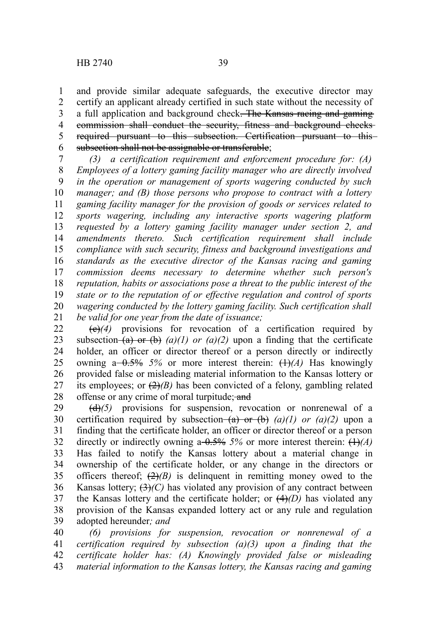and provide similar adequate safeguards, the executive director may certify an applicant already certified in such state without the necessity of a full application and background check. The Kansas racing and gaming commission shall conduct the security, fitness and background checks required pursuant to this subsection. Certification pursuant to this subsection shall not be assignable or transferable; 1 2 3 4 5 6

*(3) a certification requirement and enforcement procedure for: (A) Employees of a lottery gaming facility manager who are directly involved in the operation or management of sports wagering conducted by such manager; and (B) those persons who propose to contract with a lottery gaming facility manager for the provision of goods or services related to sports wagering, including any interactive sports wagering platform requested by a lottery gaming facility manager under section 2, and amendments thereto. Such certification requirement shall include compliance with such security, fitness and background investigations and standards as the executive director of the Kansas racing and gaming commission deems necessary to determine whether such person's reputation, habits or associations pose a threat to the public interest of the state or to the reputation of or effective regulation and control of sports wagering conducted by the lottery gaming facility. Such certification shall be valid for one year from the date of issuance;* 7 8 9 10 11 12 13 14 15 16 17 18 19 20 21

(c)*(4)* provisions for revocation of a certification required by subsection  $(a)$  or  $(b)$   $(a)$   $(l)$  or  $(a)$   $(2)$  upon a finding that the certificate holder, an officer or director thereof or a person directly or indirectly owning  $a - 0.5\%$  5% or more interest therein:  $(1)$ *(A)* Has knowingly provided false or misleading material information to the Kansas lottery or its employees; or  $(2)(B)$  has been convicted of a felony, gambling related offense or any crime of moral turpitude; and 22 23 24 25 26 27 28

(d)*(5)* provisions for suspension, revocation or nonrenewal of a certification required by subsection  $(a)$  or  $(b)$   $(a)(1)$  or  $(a)(2)$  upon a finding that the certificate holder, an officer or director thereof or a person directly or indirectly owning a  $0.5\%$  5% or more interest therein:  $(1)$ *(A)* Has failed to notify the Kansas lottery about a material change in ownership of the certificate holder, or any change in the directors or officers thereof;  $(2)(B)$  is delinguent in remitting money owed to the Kansas lottery;  $(3)(C)$  has violated any provision of any contract between the Kansas lottery and the certificate holder; or  $(4)(D)$  has violated any provision of the Kansas expanded lottery act or any rule and regulation adopted hereunder*; and* 29 30 31 32 33 34 35 36 37 38 39

*(6) provisions for suspension, revocation or nonrenewal of a certification required by subsection (a)(3) upon a finding that the certificate holder has: (A) Knowingly provided false or misleading material information to the Kansas lottery, the Kansas racing and gaming* 40 41 42 43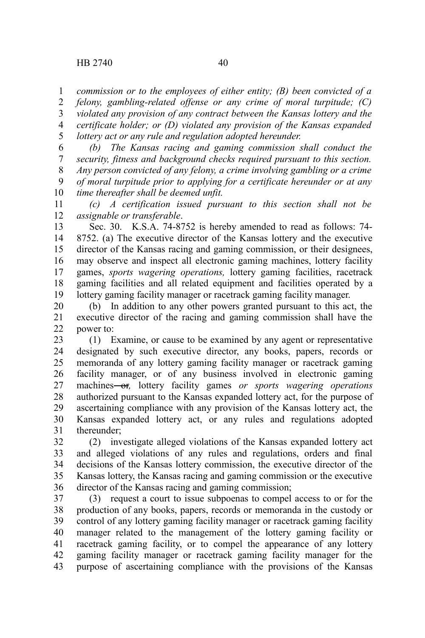*commission or to the employees of either entity; (B) been convicted of a* 1

*felony, gambling-related offense or any crime of moral turpitude; (C) violated any provision of any contract between the Kansas lottery and the certificate holder; or (D) violated any provision of the Kansas expanded lottery act or any rule and regulation adopted hereunder.* 2 3 4 5

*(b) The Kansas racing and gaming commission shall conduct the security, fitness and background checks required pursuant to this section. Any person convicted of any felony, a crime involving gambling or a crime of moral turpitude prior to applying for a certificate hereunder or at any time thereafter shall be deemed unfit.* 6 7 8 9 10

*(c) A certification issued pursuant to this section shall not be assignable or transferable*. 11 12

Sec. 30. K.S.A. 74-8752 is hereby amended to read as follows: 74- 8752. (a) The executive director of the Kansas lottery and the executive director of the Kansas racing and gaming commission, or their designees, may observe and inspect all electronic gaming machines, lottery facility games, *sports wagering operations,* lottery gaming facilities, racetrack gaming facilities and all related equipment and facilities operated by a lottery gaming facility manager or racetrack gaming facility manager. 13 14 15 16 17 18 19

(b) In addition to any other powers granted pursuant to this act, the executive director of the racing and gaming commission shall have the power to: 20 21 22

(1) Examine, or cause to be examined by any agent or representative designated by such executive director, any books, papers, records or memoranda of any lottery gaming facility manager or racetrack gaming facility manager, or of any business involved in electronic gaming machines-or, lottery facility games or sports wagering operations authorized pursuant to the Kansas expanded lottery act, for the purpose of ascertaining compliance with any provision of the Kansas lottery act, the Kansas expanded lottery act, or any rules and regulations adopted thereunder; 23 24 25 26 27 28 29 30 31

(2) investigate alleged violations of the Kansas expanded lottery act and alleged violations of any rules and regulations, orders and final decisions of the Kansas lottery commission, the executive director of the Kansas lottery, the Kansas racing and gaming commission or the executive director of the Kansas racing and gaming commission; 32 33 34 35 36

(3) request a court to issue subpoenas to compel access to or for the production of any books, papers, records or memoranda in the custody or control of any lottery gaming facility manager or racetrack gaming facility manager related to the management of the lottery gaming facility or racetrack gaming facility, or to compel the appearance of any lottery gaming facility manager or racetrack gaming facility manager for the purpose of ascertaining compliance with the provisions of the Kansas 37 38 39 40 41 42 43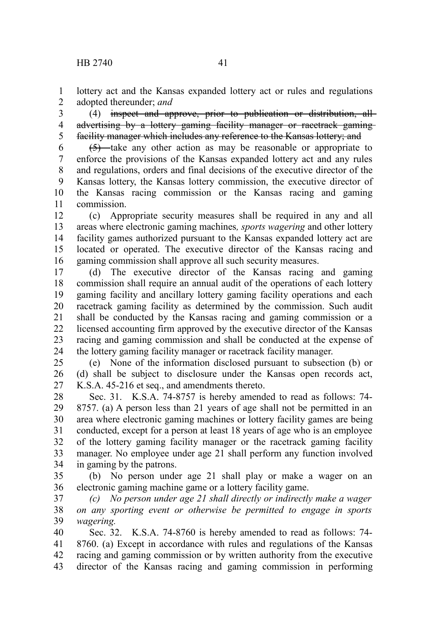lottery act and the Kansas expanded lottery act or rules and regulations adopted thereunder; *and* 1 2

(4) inspect and approve, prior to publication or distribution, all advertising by a lottery gaming facility manager or racetrack gamingfacility manager which includes any reference to the Kansas lottery; and 3 4 5

(5) take any other action as may be reasonable or appropriate to enforce the provisions of the Kansas expanded lottery act and any rules and regulations, orders and final decisions of the executive director of the Kansas lottery, the Kansas lottery commission, the executive director of the Kansas racing commission or the Kansas racing and gaming commission. 6 7 8 9 10 11

(c) Appropriate security measures shall be required in any and all areas where electronic gaming machines*, sports wagering* and other lottery facility games authorized pursuant to the Kansas expanded lottery act are located or operated. The executive director of the Kansas racing and gaming commission shall approve all such security measures. 12 13 14 15 16

(d) The executive director of the Kansas racing and gaming commission shall require an annual audit of the operations of each lottery gaming facility and ancillary lottery gaming facility operations and each racetrack gaming facility as determined by the commission. Such audit shall be conducted by the Kansas racing and gaming commission or a licensed accounting firm approved by the executive director of the Kansas racing and gaming commission and shall be conducted at the expense of the lottery gaming facility manager or racetrack facility manager. 17 18 19 20 21 22 23 24

(e) None of the information disclosed pursuant to subsection (b) or (d) shall be subject to disclosure under the Kansas open records act, K.S.A. 45-216 et seq., and amendments thereto. 25 26 27

Sec. 31. K.S.A. 74-8757 is hereby amended to read as follows: 74- 8757. (a) A person less than 21 years of age shall not be permitted in an area where electronic gaming machines or lottery facility games are being conducted, except for a person at least 18 years of age who is an employee of the lottery gaming facility manager or the racetrack gaming facility manager. No employee under age 21 shall perform any function involved in gaming by the patrons. 28 29 30 31 32 33 34

(b) No person under age 21 shall play or make a wager on an electronic gaming machine game or a lottery facility game. 35 36

*(c) No person under age 21 shall directly or indirectly make a wager on any sporting event or otherwise be permitted to engage in sports wagering.* 37 38 39

Sec. 32. K.S.A. 74-8760 is hereby amended to read as follows: 74- 8760. (a) Except in accordance with rules and regulations of the Kansas racing and gaming commission or by written authority from the executive director of the Kansas racing and gaming commission in performing 40 41 42 43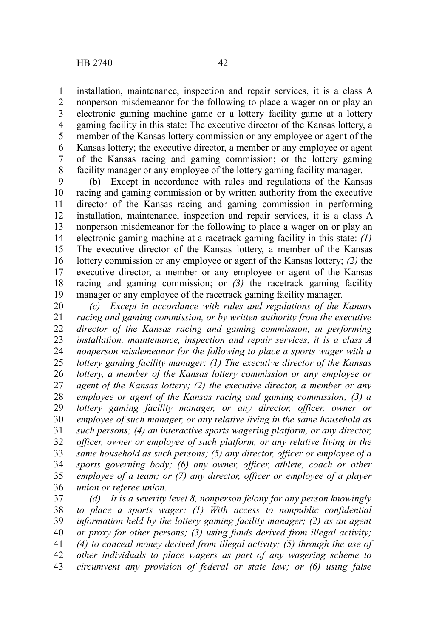installation, maintenance, inspection and repair services, it is a class A nonperson misdemeanor for the following to place a wager on or play an electronic gaming machine game or a lottery facility game at a lottery gaming facility in this state: The executive director of the Kansas lottery, a member of the Kansas lottery commission or any employee or agent of the Kansas lottery; the executive director, a member or any employee or agent of the Kansas racing and gaming commission; or the lottery gaming facility manager or any employee of the lottery gaming facility manager. 1 2 3 4 5 6 7 8

(b) Except in accordance with rules and regulations of the Kansas racing and gaming commission or by written authority from the executive director of the Kansas racing and gaming commission in performing installation, maintenance, inspection and repair services, it is a class A nonperson misdemeanor for the following to place a wager on or play an electronic gaming machine at a racetrack gaming facility in this state: *(1)* The executive director of the Kansas lottery, a member of the Kansas lottery commission or any employee or agent of the Kansas lottery; *(2)* the executive director, a member or any employee or agent of the Kansas racing and gaming commission; or *(3)* the racetrack gaming facility manager or any employee of the racetrack gaming facility manager. 9 10 11 12 13 14 15 16 17 18 19

*(c) Except in accordance with rules and regulations of the Kansas racing and gaming commission, or by written authority from the executive director of the Kansas racing and gaming commission, in performing installation, maintenance, inspection and repair services, it is a class A nonperson misdemeanor for the following to place a sports wager with a lottery gaming facility manager: (1) The executive director of the Kansas lottery, a member of the Kansas lottery commission or any employee or agent of the Kansas lottery; (2) the executive director, a member or any employee or agent of the Kansas racing and gaming commission; (3) a lottery gaming facility manager, or any director, officer, owner or employee of such manager, or any relative living in the same household as such persons; (4) an interactive sports wagering platform, or any director, officer, owner or employee of such platform, or any relative living in the same household as such persons; (5) any director, officer or employee of a sports governing body; (6) any owner, officer, athlete, coach or other employee of a team; or (7) any director, officer or employee of a player union or referee union.* 20 21 22 23 24 25 26 27 28 29 30 31 32 33 34 35 36

*(d) It is a severity level 8, nonperson felony for any person knowingly to place a sports wager: (1) With access to nonpublic confidential information held by the lottery gaming facility manager; (2) as an agent or proxy for other persons; (3) using funds derived from illegal activity; (4) to conceal money derived from illegal activity; (5) through the use of other individuals to place wagers as part of any wagering scheme to circumvent any provision of federal or state law; or (6) using false* 37 38 39 40 41 42 43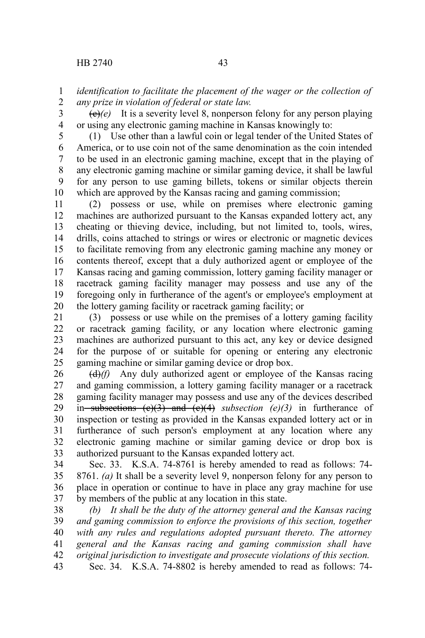*identification to facilitate the placement of the wager or the collection of any prize in violation of federal or state law.* 1 2

 $\left(\frac{\theta}{e}\right)(e)$  It is a severity level 8, nonperson felony for any person playing or using any electronic gaming machine in Kansas knowingly to: 3 4

(1) Use other than a lawful coin or legal tender of the United States of America, or to use coin not of the same denomination as the coin intended to be used in an electronic gaming machine, except that in the playing of any electronic gaming machine or similar gaming device, it shall be lawful for any person to use gaming billets, tokens or similar objects therein which are approved by the Kansas racing and gaming commission; 5 6 7 8 9 10

(2) possess or use, while on premises where electronic gaming machines are authorized pursuant to the Kansas expanded lottery act, any cheating or thieving device, including, but not limited to, tools, wires, drills, coins attached to strings or wires or electronic or magnetic devices to facilitate removing from any electronic gaming machine any money or contents thereof, except that a duly authorized agent or employee of the Kansas racing and gaming commission, lottery gaming facility manager or racetrack gaming facility manager may possess and use any of the foregoing only in furtherance of the agent's or employee's employment at the lottery gaming facility or racetrack gaming facility; or 11 12 13 14 15 16 17 18 19 20

(3) possess or use while on the premises of a lottery gaming facility or racetrack gaming facility, or any location where electronic gaming machines are authorized pursuant to this act, any key or device designed for the purpose of or suitable for opening or entering any electronic gaming machine or similar gaming device or drop box. 21 22 23 24 25

(d)*(f)* Any duly authorized agent or employee of the Kansas racing and gaming commission, a lottery gaming facility manager or a racetrack gaming facility manager may possess and use any of the devices described in subsections (c)(3) and (c)(4) *subsection (e)(3)* in furtherance of inspection or testing as provided in the Kansas expanded lottery act or in furtherance of such person's employment at any location where any electronic gaming machine or similar gaming device or drop box is authorized pursuant to the Kansas expanded lottery act. 26 27 28 29 30 31 32 33

Sec. 33. K.S.A. 74-8761 is hereby amended to read as follows: 74- 8761. *(a)* It shall be a severity level 9, nonperson felony for any person to place in operation or continue to have in place any gray machine for use by members of the public at any location in this state. 34 35 36 37

*(b) It shall be the duty of the attorney general and the Kansas racing and gaming commission to enforce the provisions of this section, together with any rules and regulations adopted pursuant thereto. The attorney general and the Kansas racing and gaming commission shall have original jurisdiction to investigate and prosecute violations of this section.* Sec. 34. K.S.A. 74-8802 is hereby amended to read as follows: 74- 38 39 40 41 42 43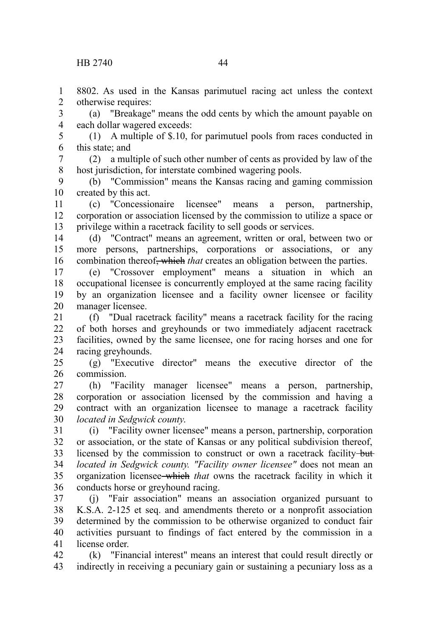8802. As used in the Kansas parimutuel racing act unless the context otherwise requires: 1 2

(a) "Breakage" means the odd cents by which the amount payable on each dollar wagered exceeds: 3 4

(1) A multiple of \$.10, for parimutuel pools from races conducted in this state; and 5 6

(2) a multiple of such other number of cents as provided by law of the host jurisdiction, for interstate combined wagering pools. 7 8

(b) "Commission" means the Kansas racing and gaming commission created by this act. 9 10

(c) "Concessionaire licensee" means a person, partnership, corporation or association licensed by the commission to utilize a space or privilege within a racetrack facility to sell goods or services. 11 12 13

(d) "Contract" means an agreement, written or oral, between two or more persons, partnerships, corporations or associations, or any combination thereof<del>, which</del> that creates an obligation between the parties. 14 15 16

(e) "Crossover employment" means a situation in which an occupational licensee is concurrently employed at the same racing facility by an organization licensee and a facility owner licensee or facility manager licensee. 17 18 19 20

(f) "Dual racetrack facility" means a racetrack facility for the racing of both horses and greyhounds or two immediately adjacent racetrack facilities, owned by the same licensee, one for racing horses and one for racing greyhounds. 21 22 23 24

(g) "Executive director" means the executive director of the commission. 25 26

(h) "Facility manager licensee" means a person, partnership, corporation or association licensed by the commission and having a contract with an organization licensee to manage a racetrack facility *located in Sedgwick county*. 27 28 29 30

(i) "Facility owner licensee" means a person, partnership, corporation or association, or the state of Kansas or any political subdivision thereof, licensed by the commission to construct or own a racetrack facility but *located in Sedgwick county. "Facility owner licensee"* does not mean an organization licensee which *that* owns the racetrack facility in which it conducts horse or greyhound racing. 31 32 33 34 35 36

(j) "Fair association" means an association organized pursuant to K.S.A. 2-125 et seq. and amendments thereto or a nonprofit association determined by the commission to be otherwise organized to conduct fair activities pursuant to findings of fact entered by the commission in a license order. 37 38 39 40 41

(k) "Financial interest" means an interest that could result directly or indirectly in receiving a pecuniary gain or sustaining a pecuniary loss as a 42 43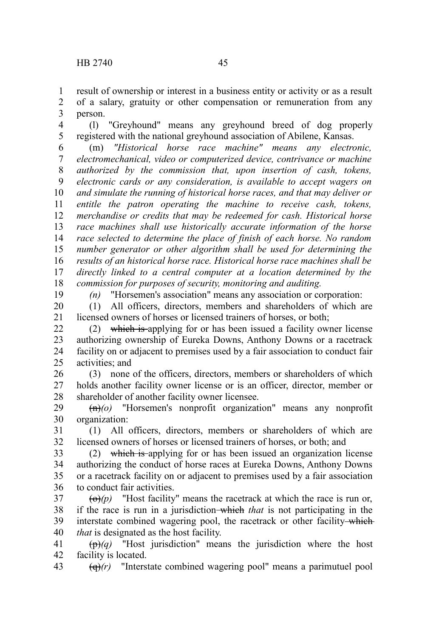result of ownership or interest in a business entity or activity or as a result of a salary, gratuity or other compensation or remuneration from any person. 1 2 3

(l) "Greyhound" means any greyhound breed of dog properly registered with the national greyhound association of Abilene, Kansas. 4 5

(m) *"Historical horse race machine" means any electronic, electromechanical, video or computerized device, contrivance or machine authorized by the commission that, upon insertion of cash, tokens, electronic cards or any consideration, is available to accept wagers on and simulate the running of historical horse races, and that may deliver or entitle the patron operating the machine to receive cash, tokens, merchandise or credits that may be redeemed for cash. Historical horse race machines shall use historically accurate information of the horse race selected to determine the place of finish of each horse. No random number generator or other algorithm shall be used for determining the results of an historical horse race. Historical horse race machines shall be directly linked to a central computer at a location determined by the commission for purposes of security, monitoring and auditing.* 6 7 8 9 10 11 12 13 14 15 16 17 18

19

*(n)* "Horsemen's association" means any association or corporation:

(1) All officers, directors, members and shareholders of which are licensed owners of horses or licensed trainers of horses, or both; 20 21

(2) which is applying for or has been issued a facility owner license authorizing ownership of Eureka Downs, Anthony Downs or a racetrack facility on or adjacent to premises used by a fair association to conduct fair activities; and  $22$ 23 24 25

(3) none of the officers, directors, members or shareholders of which holds another facility owner license or is an officer, director, member or shareholder of another facility owner licensee. 26 27 28

(n)*(o)* "Horsemen's nonprofit organization" means any nonprofit organization: 29 30

(1) All officers, directors, members or shareholders of which are licensed owners of horses or licensed trainers of horses, or both; and 31 32

(2) which is applying for or has been issued an organization license authorizing the conduct of horse races at Eureka Downs, Anthony Downs or a racetrack facility on or adjacent to premises used by a fair association to conduct fair activities. 33 34 35 36

 $\left(\Theta\right)(p)$  "Host facility" means the racetrack at which the race is run or, if the race is run in a jurisdiction which *that* is not participating in the interstate combined wagering pool, the racetrack or other facility-which *that* is designated as the host facility. 37 38 39 40

(p)*(q)* "Host jurisdiction" means the jurisdiction where the host facility is located. 41 42

(q)*(r)* "Interstate combined wagering pool" means a parimutuel pool 43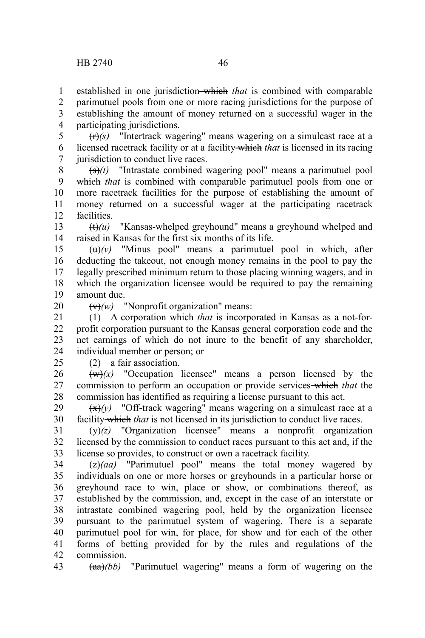established in one jurisdiction-which *that* is combined with comparable parimutuel pools from one or more racing jurisdictions for the purpose of establishing the amount of money returned on a successful wager in the participating jurisdictions. 1 2 3 4

 $(r\rightarrow)(s)$  "Intertrack wagering" means wagering on a simulcast race at a licensed racetrack facility or at a facility which *that* is licensed in its racing jurisdiction to conduct live races. 5 6 7

(s)*(t)* "Intrastate combined wagering pool" means a parimutuel pool which *that* is combined with comparable parimutuel pools from one or more racetrack facilities for the purpose of establishing the amount of money returned on a successful wager at the participating racetrack facilities. 8 9 10 11 12

(t)*(u)* "Kansas-whelped greyhound" means a greyhound whelped and raised in Kansas for the first six months of its life. 13 14

 $\left(\frac{u}{v}\right)$  "Minus pool" means a parimutuel pool in which, after deducting the takeout, not enough money remains in the pool to pay the legally prescribed minimum return to those placing winning wagers, and in which the organization licensee would be required to pay the remaining amount due. 15 16 17 18 19

20

 $\overline{(v)}(w)$  "Nonprofit organization" means:

(1) A corporation which *that* is incorporated in Kansas as a not-forprofit corporation pursuant to the Kansas general corporation code and the net earnings of which do not inure to the benefit of any shareholder, individual member or person; or 21 22 23 24

 $25$ 

(2) a fair association.

 $(w)(x)$  "Occupation licensee" means a person licensed by the commission to perform an occupation or provide services which *that* the commission has identified as requiring a license pursuant to this act. 26 27 28

 $\left(\frac{x}{x}\right)(y)$  "Off-track wagering" means wagering on a simulcast race at a facility which *that* is not licensed in its jurisdiction to conduct live races. 29 30

(y)*(z)* "Organization licensee" means a nonprofit organization licensed by the commission to conduct races pursuant to this act and, if the license so provides, to construct or own a racetrack facility. 31 32 33

(z)*(aa)* "Parimutuel pool" means the total money wagered by individuals on one or more horses or greyhounds in a particular horse or greyhound race to win, place or show, or combinations thereof, as established by the commission, and, except in the case of an interstate or intrastate combined wagering pool, held by the organization licensee pursuant to the parimutuel system of wagering. There is a separate parimutuel pool for win, for place, for show and for each of the other forms of betting provided for by the rules and regulations of the commission. 34 35 36 37 38 39 40 41 42

(aa)*(bb)* "Parimutuel wagering" means a form of wagering on the 43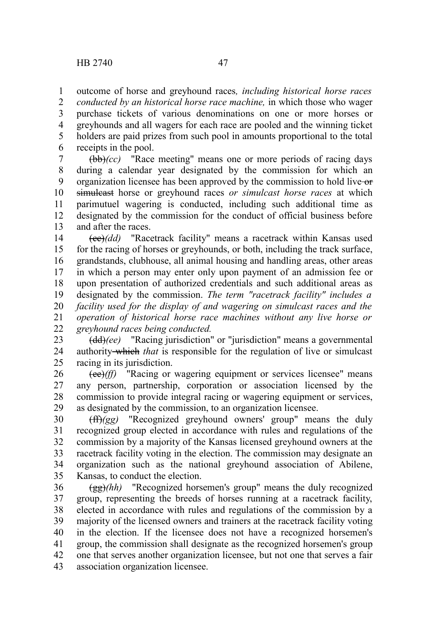outcome of horse and greyhound races*, including historical horse races* 1

*conducted by an historical horse race machine,* in which those who wager purchase tickets of various denominations on one or more horses or greyhounds and all wagers for each race are pooled and the winning ticket holders are paid prizes from such pool in amounts proportional to the total receipts in the pool. 2 3 4 5 6

(bb)*(cc)* "Race meeting" means one or more periods of racing days during a calendar year designated by the commission for which an organization licensee has been approved by the commission to hold live or simulcast horse or greyhound races *or simulcast horse races* at which parimutuel wagering is conducted, including such additional time as designated by the commission for the conduct of official business before and after the races. 7 8 9 10 11 12 13

(cc)*(dd)* "Racetrack facility" means a racetrack within Kansas used for the racing of horses or greyhounds, or both, including the track surface, grandstands, clubhouse, all animal housing and handling areas, other areas in which a person may enter only upon payment of an admission fee or upon presentation of authorized credentials and such additional areas as designated by the commission. *The term "racetrack facility" includes a facility used for the display of and wagering on simulcast races and the operation of historical horse race machines without any live horse or greyhound races being conducted.* 14 15 16 17 18 19 20 21 22

(dd)*(ee)* "Racing jurisdiction" or "jurisdiction" means a governmental authority which *that* is responsible for the regulation of live or simulcast racing in its jurisdiction. 23 24 25

(ee)*(ff)* "Racing or wagering equipment or services licensee" means any person, partnership, corporation or association licensed by the commission to provide integral racing or wagering equipment or services, as designated by the commission, to an organization licensee. 26 27 28 29

(ff)*(gg)* "Recognized greyhound owners' group" means the duly recognized group elected in accordance with rules and regulations of the commission by a majority of the Kansas licensed greyhound owners at the racetrack facility voting in the election. The commission may designate an organization such as the national greyhound association of Abilene, Kansas, to conduct the election. 30 31 32 33 34 35

(gg)*(hh)* "Recognized horsemen's group" means the duly recognized group, representing the breeds of horses running at a racetrack facility, elected in accordance with rules and regulations of the commission by a majority of the licensed owners and trainers at the racetrack facility voting in the election. If the licensee does not have a recognized horsemen's group, the commission shall designate as the recognized horsemen's group one that serves another organization licensee, but not one that serves a fair association organization licensee. 36 37 38 39 40 41 42 43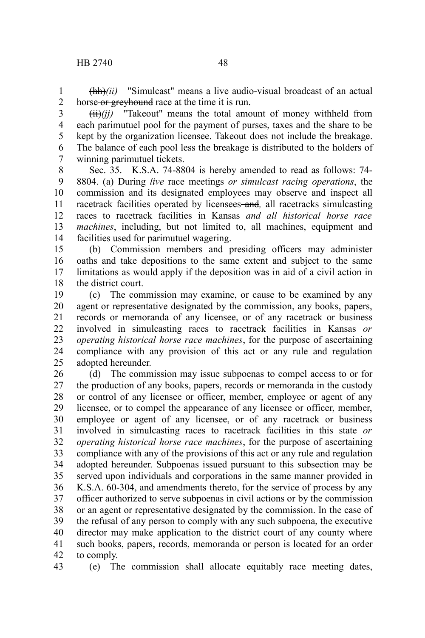(hh)*(ii)* "Simulcast" means a live audio-visual broadcast of an actual horse or greyhound race at the time it is run. 1 2

(ii)*(jj)* "Takeout" means the total amount of money withheld from each parimutuel pool for the payment of purses, taxes and the share to be kept by the organization licensee. Takeout does not include the breakage. The balance of each pool less the breakage is distributed to the holders of 3 4 5 6 7

winning parimutuel tickets.

Sec. 35. K.S.A. 74-8804 is hereby amended to read as follows: 74- 8804. (a) During *live* race meetings *or simulcast racing operations*, the commission and its designated employees may observe and inspect all racetrack facilities operated by licensees-and, all racetracks simulcasting races to racetrack facilities in Kansas *and all historical horse race machines*, including, but not limited to, all machines, equipment and facilities used for parimutuel wagering. 8 9 10 11 12 13 14

(b) Commission members and presiding officers may administer oaths and take depositions to the same extent and subject to the same limitations as would apply if the deposition was in aid of a civil action in the district court. 15 16 17 18

(c) The commission may examine, or cause to be examined by any agent or representative designated by the commission, any books, papers, records or memoranda of any licensee, or of any racetrack or business involved in simulcasting races to racetrack facilities in Kansas *or operating historical horse race machines*, for the purpose of ascertaining compliance with any provision of this act or any rule and regulation adopted hereunder. 19 20 21 22 23 24 25

(d) The commission may issue subpoenas to compel access to or for the production of any books, papers, records or memoranda in the custody or control of any licensee or officer, member, employee or agent of any licensee, or to compel the appearance of any licensee or officer, member, employee or agent of any licensee, or of any racetrack or business involved in simulcasting races to racetrack facilities in this state *or operating historical horse race machines*, for the purpose of ascertaining compliance with any of the provisions of this act or any rule and regulation adopted hereunder. Subpoenas issued pursuant to this subsection may be served upon individuals and corporations in the same manner provided in K.S.A. 60-304, and amendments thereto, for the service of process by any officer authorized to serve subpoenas in civil actions or by the commission or an agent or representative designated by the commission. In the case of the refusal of any person to comply with any such subpoena, the executive director may make application to the district court of any county where such books, papers, records, memoranda or person is located for an order to comply. 26 27 28 29 30 31 32 33 34 35 36 37 38 39 40 41 42

(e) The commission shall allocate equitably race meeting dates, 43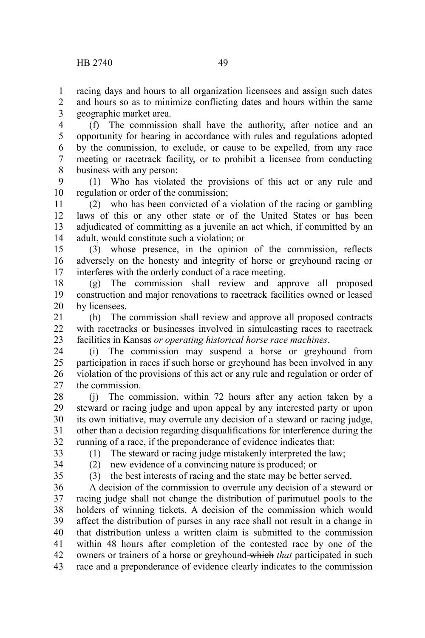racing days and hours to all organization licensees and assign such dates and hours so as to minimize conflicting dates and hours within the same geographic market area. 1 2 3

(f) The commission shall have the authority, after notice and an opportunity for hearing in accordance with rules and regulations adopted by the commission, to exclude, or cause to be expelled, from any race meeting or racetrack facility, or to prohibit a licensee from conducting business with any person: 4 5 6 7 8

(1) Who has violated the provisions of this act or any rule and regulation or order of the commission; 9 10

(2) who has been convicted of a violation of the racing or gambling laws of this or any other state or of the United States or has been adjudicated of committing as a juvenile an act which, if committed by an adult, would constitute such a violation; or 11 12 13 14

(3) whose presence, in the opinion of the commission, reflects adversely on the honesty and integrity of horse or greyhound racing or interferes with the orderly conduct of a race meeting. 15 16 17

(g) The commission shall review and approve all proposed construction and major renovations to racetrack facilities owned or leased by licensees. 18 19 20

(h) The commission shall review and approve all proposed contracts with racetracks or businesses involved in simulcasting races to racetrack facilities in Kansas *or operating historical horse race machines*. 21  $22$ 23

(i) The commission may suspend a horse or greyhound from participation in races if such horse or greyhound has been involved in any violation of the provisions of this act or any rule and regulation or order of the commission. 24 25 26 27

(j) The commission, within 72 hours after any action taken by a steward or racing judge and upon appeal by any interested party or upon its own initiative, may overrule any decision of a steward or racing judge, other than a decision regarding disqualifications for interference during the running of a race, if the preponderance of evidence indicates that: 28 29 30 31 32

33

(1) The steward or racing judge mistakenly interpreted the law;

(2) new evidence of a convincing nature is produced; or

34 35

(3) the best interests of racing and the state may be better served.

A decision of the commission to overrule any decision of a steward or racing judge shall not change the distribution of parimutuel pools to the holders of winning tickets. A decision of the commission which would affect the distribution of purses in any race shall not result in a change in that distribution unless a written claim is submitted to the commission within 48 hours after completion of the contested race by one of the owners or trainers of a horse or greyhound which *that* participated in such race and a preponderance of evidence clearly indicates to the commission 36 37 38 39 40 41 42 43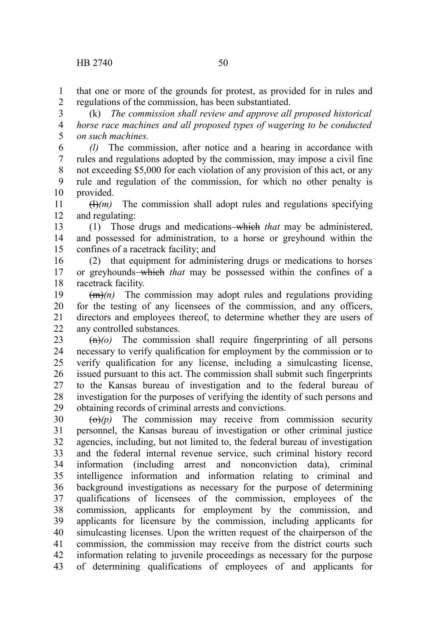that one or more of the grounds for protest, as provided for in rules and regulations of the commission, has been substantiated. 1 2

(k) *The commission shall review and approve all proposed historical horse race machines and all proposed types of wagering to be conducted on such machines.* 3 4 5

*(l)* The commission, after notice and a hearing in accordance with rules and regulations adopted by the commission, may impose a civil fine not exceeding \$5,000 for each violation of any provision of this act, or any rule and regulation of the commission, for which no other penalty is provided. 6 7 8 9 10

 $(H)(m)$  The commission shall adopt rules and regulations specifying and regulating: 11 12

(1) Those drugs and medications which *that* may be administered, and possessed for administration, to a horse or greyhound within the confines of a racetrack facility; and 13 14 15

(2) that equipment for administering drugs or medications to horses or greyhounds which *that* may be possessed within the confines of a racetrack facility. 16 17 18

 $(m)$  The commission may adopt rules and regulations providing for the testing of any licensees of the commission, and any officers, directors and employees thereof, to determine whether they are users of any controlled substances. 19 20 21 22

 $\left(\frac{f(n)}{n}\right)$  The commission shall require fingerprinting of all persons necessary to verify qualification for employment by the commission or to verify qualification for any license, including a simulcasting license, issued pursuant to this act. The commission shall submit such fingerprints to the Kansas bureau of investigation and to the federal bureau of investigation for the purposes of verifying the identity of such persons and obtaining records of criminal arrests and convictions. 23 24 25 26 27 28 29

 $\left(\Theta\right)(p)$  The commission may receive from commission security personnel, the Kansas bureau of investigation or other criminal justice agencies, including, but not limited to, the federal bureau of investigation and the federal internal revenue service, such criminal history record information (including arrest and nonconviction data), criminal intelligence information and information relating to criminal and background investigations as necessary for the purpose of determining qualifications of licensees of the commission, employees of the commission, applicants for employment by the commission, and applicants for licensure by the commission, including applicants for simulcasting licenses. Upon the written request of the chairperson of the commission, the commission may receive from the district courts such information relating to juvenile proceedings as necessary for the purpose of determining qualifications of employees of and applicants for 30 31 32 33 34 35 36 37 38 39 40 41 42 43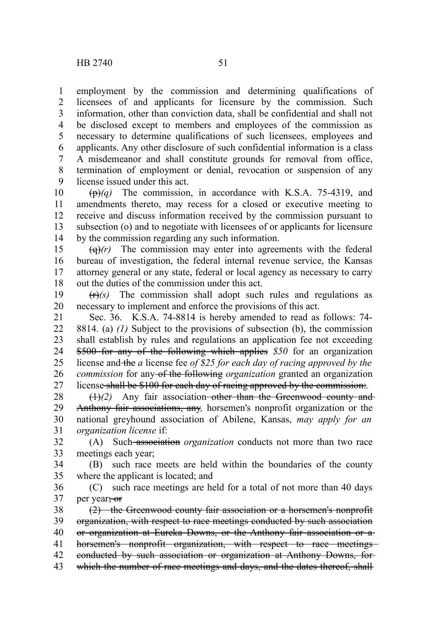employment by the commission and determining qualifications of licensees of and applicants for licensure by the commission. Such information, other than conviction data, shall be confidential and shall not be disclosed except to members and employees of the commission as necessary to determine qualifications of such licensees, employees and applicants. Any other disclosure of such confidential information is a class A misdemeanor and shall constitute grounds for removal from office, termination of employment or denial, revocation or suspension of any license issued under this act. 1 2 3 4 5 6 7 8 9

(p)*(q)* The commission, in accordance with K.S.A. 75-4319, and amendments thereto, may recess for a closed or executive meeting to receive and discuss information received by the commission pursuant to subsection (o) and to negotiate with licensees of or applicants for licensure by the commission regarding any such information. 10 11 12 13 14

 $\left(\frac{q}{r}\right)$  The commission may enter into agreements with the federal bureau of investigation, the federal internal revenue service, the Kansas attorney general or any state, federal or local agency as necessary to carry out the duties of the commission under this act. 15 16 17 18

 $(r)$  The commission shall adopt such rules and regulations as necessary to implement and enforce the provisions of this act. 19 20

Sec. 36. K.S.A. 74-8814 is hereby amended to read as follows: 74- 8814. (a) *(1)* Subject to the provisions of subsection (b), the commission shall establish by rules and regulations an application fee not exceeding \$500 for any of the following which applies *\$50* for an organization license and the *a* license fee *of \$25 for each day of racing approved by the commission* for any of the following *organization* granted an organization license shall be \$100 for each day of racing approved by the commission:*.* 21 22 23 24 25 26 27

(1)*(2)* Any fair association other than the Greenwood county and Anthony fair associations, any*,* horsemen's nonprofit organization or the national greyhound association of Abilene, Kansas, *may apply for an organization license* if: 28 29 30 31

(A) Such association *organization* conducts not more than two race meetings each year; 32 33

(B) such race meets are held within the boundaries of the county where the applicant is located; and 34 35

(C) such race meetings are held for a total of not more than 40 days per year<del>; or</del> 36 37

(2) the Greenwood county fair association or a horsemen's nonprofit organization, with respect to race meetings conducted by such association or organization at Eureka Downs, or the Anthony fair association or a horsemen's nonprofit organization, with respect to race meetings conducted by such association or organization at Anthony Downs, for which the number of race meetings and days, and the dates thereof, shall 38 39 40 41 42 43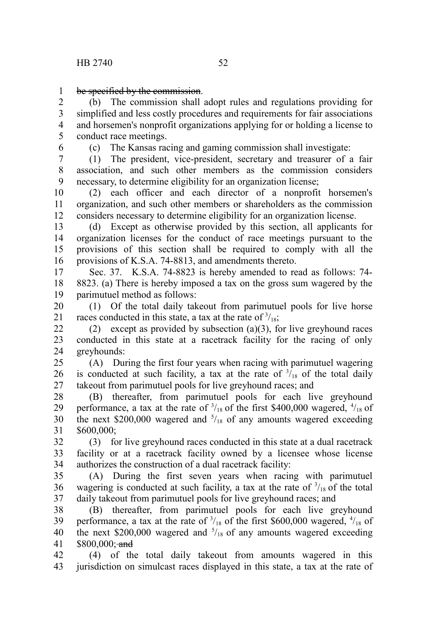be specified by the commission. 1

(b) The commission shall adopt rules and regulations providing for simplified and less costly procedures and requirements for fair associations and horsemen's nonprofit organizations applying for or holding a license to conduct race meetings. 2 3 4 5

6

(c) The Kansas racing and gaming commission shall investigate:

(1) The president, vice-president, secretary and treasurer of a fair association, and such other members as the commission considers necessary, to determine eligibility for an organization license; 7 8 9

(2) each officer and each director of a nonprofit horsemen's organization, and such other members or shareholders as the commission considers necessary to determine eligibility for an organization license. 10 11 12

(d) Except as otherwise provided by this section, all applicants for organization licenses for the conduct of race meetings pursuant to the provisions of this section shall be required to comply with all the provisions of K.S.A. 74-8813, and amendments thereto. 13 14 15 16

Sec. 37. K.S.A. 74-8823 is hereby amended to read as follows: 74- 8823. (a) There is hereby imposed a tax on the gross sum wagered by the parimutuel method as follows: 17 18 19

(1) Of the total daily takeout from parimutuel pools for live horse races conducted in this state, a tax at the rate of  $\frac{3}{18}$ ; 20 21

(2) except as provided by subsection (a)(3), for live greyhound races conducted in this state at a racetrack facility for the racing of only greyhounds: 22 23 24

(A) During the first four years when racing with parimutuel wagering is conducted at such facility, a tax at the rate of  $\frac{3}{18}$  of the total daily takeout from parimutuel pools for live greyhound races; and 25 26 27

(B) thereafter, from parimutuel pools for each live greyhound performance, a tax at the rate of  $\frac{3}{18}$  of the first \$400,000 wagered,  $\frac{4}{18}$  of the next \$200,000 wagered and  $5/18$  of any amounts wagered exceeding \$600,000; 28 29 30 31

(3) for live greyhound races conducted in this state at a dual racetrack facility or at a racetrack facility owned by a licensee whose license authorizes the construction of a dual racetrack facility: 32 33 34

(A) During the first seven years when racing with parimutuel wagering is conducted at such facility, a tax at the rate of  $\frac{3}{18}$  of the total daily takeout from parimutuel pools for live greyhound races; and 35 36 37

(B) thereafter, from parimutuel pools for each live greyhound performance, a tax at the rate of  $\frac{3}{18}$  of the first \$600,000 wagered,  $\frac{4}{18}$  of the next \$200,000 wagered and  $5/18$  of any amounts wagered exceeding \$800,000; and 38 39 40 41

(4) of the total daily takeout from amounts wagered in this jurisdiction on simulcast races displayed in this state, a tax at the rate of 42 43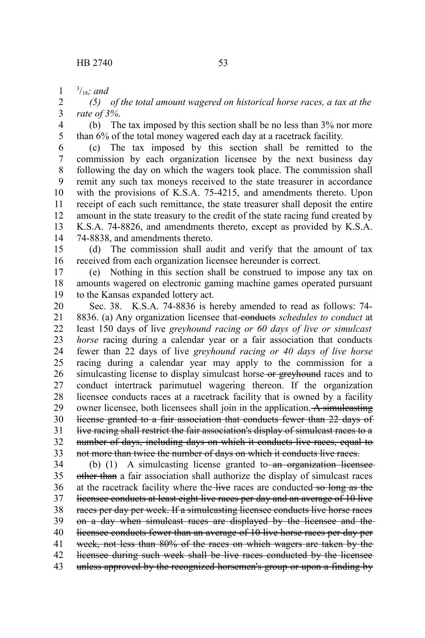3 /18*; and* 1

*(5) of the total amount wagered on historical horse races, a tax at the rate of 3%*. 2 3

(b) The tax imposed by this section shall be no less than 3% nor more than 6% of the total money wagered each day at a racetrack facility. 4 5

(c) The tax imposed by this section shall be remitted to the commission by each organization licensee by the next business day following the day on which the wagers took place. The commission shall remit any such tax moneys received to the state treasurer in accordance with the provisions of K.S.A. 75-4215, and amendments thereto. Upon receipt of each such remittance, the state treasurer shall deposit the entire amount in the state treasury to the credit of the state racing fund created by K.S.A. 74-8826, and amendments thereto, except as provided by K.S.A. 74-8838, and amendments thereto. 6 7 8 9 10 11 12 13 14

(d) The commission shall audit and verify that the amount of tax received from each organization licensee hereunder is correct. 15 16

(e) Nothing in this section shall be construed to impose any tax on amounts wagered on electronic gaming machine games operated pursuant to the Kansas expanded lottery act. 17 18 19

Sec. 38. K.S.A. 74-8836 is hereby amended to read as follows: 74- 8836. (a) Any organization licensee that conducts *schedules to conduct* at least 150 days of live *greyhound racing or 60 days of live or simulcast horse* racing during a calendar year or a fair association that conducts fewer than 22 days of live *greyhound racing or 40 days of live horse* racing during a calendar year may apply to the commission for a simulcasting license to display simulcast horse or greyhound races and to conduct intertrack parimutuel wagering thereon. If the organization licensee conducts races at a racetrack facility that is owned by a facility owner licensee, both licensees shall join in the application.  $\overline{A}$  simulcasting license granted to a fair association that conducts fewer than 22 days of live racing shall restrict the fair association's display of simulcast races to a number of days, including days on which it conducts live races, equal to not more than twice the number of days on which it conducts live races. 20 21 22 23 24 25 26 27 28 29 30 31 32 33

(b)  $(1)$  A simulcasting license granted to an organization licensee other than a fair association shall authorize the display of simulcast races at the racetrack facility where the live races are conducted so long as the licensee conducts at least eight live races per day and an average of 10 live races per day per week. If a simulcasting licensee conducts live horse races on a day when simulcast races are displayed by the licensee and the licensee conducts fewer than an average of 10 live horse races per day per week, not less than 80% of the races on which wagers are taken by the licensee during such week shall be live races conducted by the licensee unless approved by the recognized horsemen's group or upon a finding by 34 35 36 37 38 39 40 41 42 43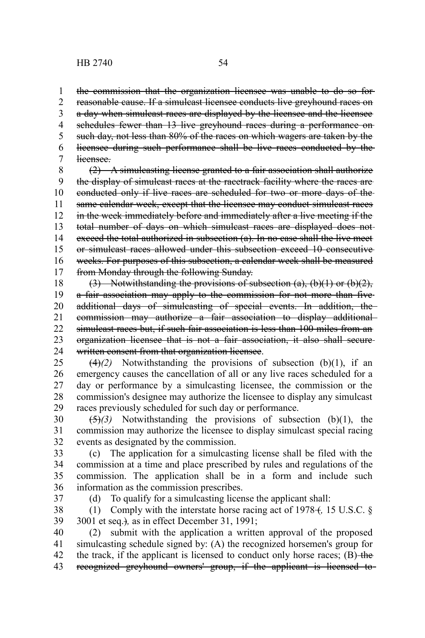schedules fewer than 13 live greyhound races during a performance onsuch day, not less than 80% of the races on which wagers are taken by the licensee during such performance shall be live races conducted by the 4 5 6

licensee. 7

1 2 3

(2) A simulcasting license granted to a fair association shall authorize the display of simulcast races at the racetrack facility where the races are conducted only if live races are scheduled for two or more days of the same calendar week, except that the licensee may conduct simulcast races in the week immediately before and immediately after a live meeting if the total number of days on which simulcast races are displayed does not exceed the total authorized in subsection (a). In no case shall the live meet or simulcast races allowed under this subsection exceed 10 consecutive weeks. For purposes of this subsection, a calendar week shall be measured from Monday through the following Sunday. 8 9 10 11 12 13 14 15 16 17

(3) Notwithstanding the provisions of subsection (a), (b)(1) or (b)(2), a fair association may apply to the commission for not more than five additional days of simulcasting of special events. In addition, the commission may authorize a fair association to display additional simulcast races but, if such fair association is less than 100 miles from an organization licensee that is not a fair association, it also shall secure written consent from that organization licensee. 18 19 20 21 22 23 24

 $(4)$ (2) Notwithstanding the provisions of subsection (b)(1), if an emergency causes the cancellation of all or any live races scheduled for a day or performance by a simulcasting licensee, the commission or the commission's designee may authorize the licensee to display any simulcast races previously scheduled for such day or performance. 25 26 27 28 29

(5)*(3)* Notwithstanding the provisions of subsection (b)(1), the commission may authorize the licensee to display simulcast special racing events as designated by the commission. 30 31 32

(c) The application for a simulcasting license shall be filed with the commission at a time and place prescribed by rules and regulations of the commission. The application shall be in a form and include such information as the commission prescribes. 33 34 35 36

37

(d) To qualify for a simulcasting license the applicant shall:

(1) Comply with the interstate horse racing act of 1978 +, 15 U.S.C. § 3001 et seq.)*,* as in effect December 31, 1991; 38 39

(2) submit with the application a written approval of the proposed simulcasting schedule signed by: (A) the recognized horsemen's group for the track, if the applicant is licensed to conduct only horse races;  $(B)$  the recognized greyhound owners' group, if the applicant is licensed to 40 41 42 43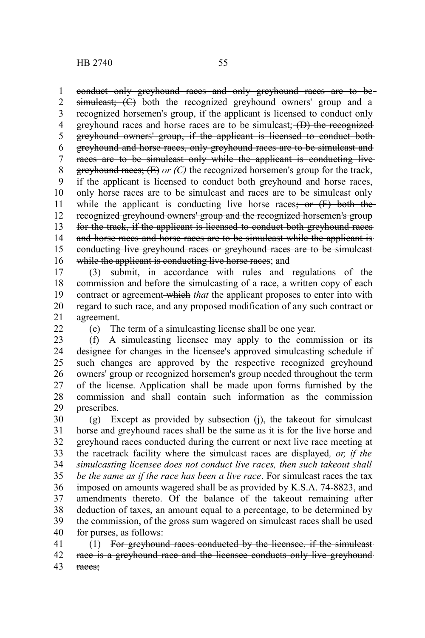conduct only greyhound races and only greyhound races are to be simuleast; (C) both the recognized greyhound owners' group and a recognized horsemen's group, if the applicant is licensed to conduct only greyhound races and horse races are to be simulcast; (D) the recognized greyhound owners' group, if the applicant is licensed to conduct both greyhound and horse races, only greyhound races are to be simulcast and races are to be simulcast only while the applicant is conducting livegreyhound races; (E) *or (C)* the recognized horsemen's group for the track, if the applicant is licensed to conduct both greyhound and horse races, only horse races are to be simulcast and races are to be simulcast only while the applicant is conducting live horse races; or  $(F)$  both the recognized greyhound owners' group and the recognized horsemen's group for the track, if the applicant is licensed to conduct both greyhound races and horse races and horse races are to be simulcast while the applicant is conducting live greyhound races or greyhound races are to be simulcast while the applicant is conducting live horse races; and 1 2 3 4 5 6 7 8 9 10 11 12 13 14 15 16

(3) submit, in accordance with rules and regulations of the commission and before the simulcasting of a race, a written copy of each contract or agreement which *that* the applicant proposes to enter into with regard to such race, and any proposed modification of any such contract or agreement. 17 18 19 20 21

 $22$ 

(e) The term of a simulcasting license shall be one year.

(f) A simulcasting licensee may apply to the commission or its designee for changes in the licensee's approved simulcasting schedule if such changes are approved by the respective recognized greyhound owners' group or recognized horsemen's group needed throughout the term of the license. Application shall be made upon forms furnished by the commission and shall contain such information as the commission prescribes. 23 24 25 26 27 28 29

(g) Except as provided by subsection (j), the takeout for simulcast horse and greyhound races shall be the same as it is for the live horse and greyhound races conducted during the current or next live race meeting at the racetrack facility where the simulcast races are displayed*, or, if the simulcasting licensee does not conduct live races, then such takeout shall be the same as if the race has been a live race*. For simulcast races the tax imposed on amounts wagered shall be as provided by K.S.A. 74-8823, and amendments thereto. Of the balance of the takeout remaining after deduction of taxes, an amount equal to a percentage, to be determined by the commission, of the gross sum wagered on simulcast races shall be used for purses, as follows: 30 31 32 33 34 35 36 37 38 39 40

(1) For greyhound races conducted by the licensee, if the simulcast race is a greyhound race and the licensee conducts only live greyhoundraces; 41 42 43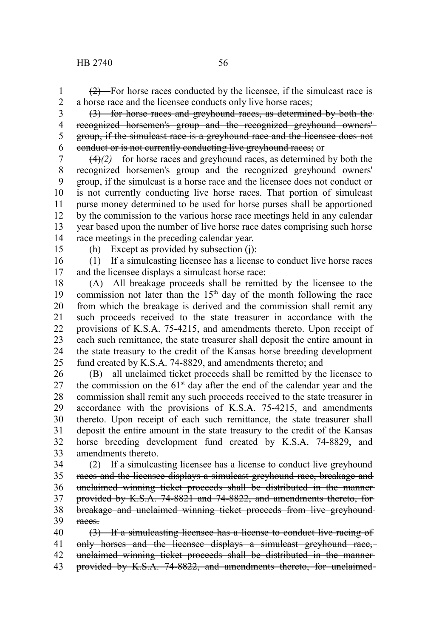$(2)$  For horse races conducted by the licensee, if the simulcast race is a horse race and the licensee conducts only live horse races; 1 2

3

5

(3) for horse races and greyhound races, as determined by both the recognized horsemen's group and the recognized greyhound owners' group, if the simulcast race is a greyhound race and the licensee does not conduct or is not currently conducting live greyhound races; or 4 6

 $(4)$ (2) for horse races and greyhound races, as determined by both the recognized horsemen's group and the recognized greyhound owners' group, if the simulcast is a horse race and the licensee does not conduct or is not currently conducting live horse races. That portion of simulcast purse money determined to be used for horse purses shall be apportioned by the commission to the various horse race meetings held in any calendar year based upon the number of live horse race dates comprising such horse race meetings in the preceding calendar year. 7 8 9 10 11 12 13 14

15

(h) Except as provided by subsection (j):

(1) If a simulcasting licensee has a license to conduct live horse races and the licensee displays a simulcast horse race: 16 17

(A) All breakage proceeds shall be remitted by the licensee to the commission not later than the  $15<sup>th</sup>$  day of the month following the race from which the breakage is derived and the commission shall remit any such proceeds received to the state treasurer in accordance with the provisions of K.S.A. 75-4215, and amendments thereto. Upon receipt of each such remittance, the state treasurer shall deposit the entire amount in the state treasury to the credit of the Kansas horse breeding development fund created by K.S.A. 74-8829, and amendments thereto; and 18 19 20 21 22 23 24 25

(B) all unclaimed ticket proceeds shall be remitted by the licensee to the commission on the  $61<sup>st</sup>$  day after the end of the calendar year and the commission shall remit any such proceeds received to the state treasurer in accordance with the provisions of K.S.A. 75-4215, and amendments thereto. Upon receipt of each such remittance, the state treasurer shall deposit the entire amount in the state treasury to the credit of the Kansas horse breeding development fund created by K.S.A. 74-8829, and amendments thereto. 26 27 28 29 30 31 32 33

(2) If a simulcasting licensee has a license to conduct live greyhound races and the licensee displays a simulcast greyhound race, breakage and unclaimed winning ticket proceeds shall be distributed in the manner provided by K.S.A. 74-8821 and 74-8822, and amendments thereto, for breakage and unclaimed winning ticket proceeds from live greyhound races. 34 35 36 37 38 39

(3) If a simulcasting licensee has a license to conduct live racing of only horses and the licensee displays a simulcast greyhound race, unclaimed winning ticket proceeds shall be distributed in the manner 40 41 42

provided by K.S.A. 74-8822, and amendments thereto, for unclaimed 43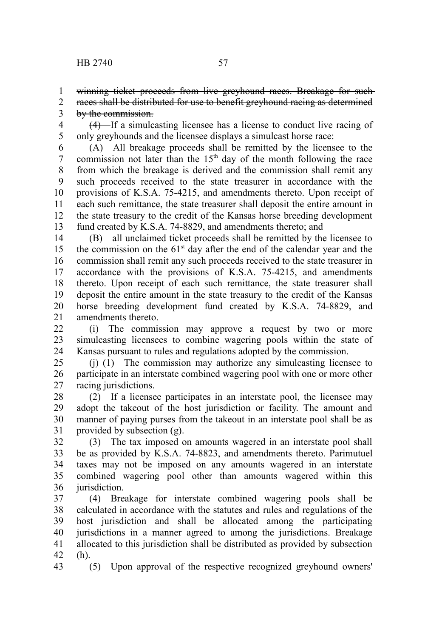4

winning ticket proceeds from live greyhound races. Breakage for such-1

- races shall be distributed for use to benefit greyhound racing as determined by the commission. 2 3
	- (4) If a simulcasting licensee has a license to conduct live racing of

only greyhounds and the licensee displays a simulcast horse race: (A) All breakage proceeds shall be remitted by the licensee to the commission not later than the  $15<sup>th</sup>$  day of the month following the race from which the breakage is derived and the commission shall remit any such proceeds received to the state treasurer in accordance with the provisions of K.S.A. 75-4215, and amendments thereto. Upon receipt of each such remittance, the state treasurer shall deposit the entire amount in the state treasury to the credit of the Kansas horse breeding development fund created by K.S.A. 74-8829, and amendments thereto; and 5 6 7 8 9 10 11 12 13

(B) all unclaimed ticket proceeds shall be remitted by the licensee to the commission on the  $61<sup>st</sup>$  day after the end of the calendar year and the commission shall remit any such proceeds received to the state treasurer in accordance with the provisions of K.S.A. 75-4215, and amendments thereto. Upon receipt of each such remittance, the state treasurer shall deposit the entire amount in the state treasury to the credit of the Kansas horse breeding development fund created by K.S.A. 74-8829, and amendments thereto. 14 15 16 17 18 19 20 21

(i) The commission may approve a request by two or more simulcasting licensees to combine wagering pools within the state of Kansas pursuant to rules and regulations adopted by the commission.  $22$ 23 24

(j) (1) The commission may authorize any simulcasting licensee to participate in an interstate combined wagering pool with one or more other racing jurisdictions. 25 26 27

(2) If a licensee participates in an interstate pool, the licensee may adopt the takeout of the host jurisdiction or facility. The amount and manner of paying purses from the takeout in an interstate pool shall be as provided by subsection (g). 28 29 30 31

(3) The tax imposed on amounts wagered in an interstate pool shall be as provided by K.S.A. 74-8823, and amendments thereto. Parimutuel taxes may not be imposed on any amounts wagered in an interstate combined wagering pool other than amounts wagered within this jurisdiction. 32 33 34 35 36

(4) Breakage for interstate combined wagering pools shall be calculated in accordance with the statutes and rules and regulations of the host jurisdiction and shall be allocated among the participating jurisdictions in a manner agreed to among the jurisdictions. Breakage allocated to this jurisdiction shall be distributed as provided by subsection (h). 37 38 39 40 41 42

43

(5) Upon approval of the respective recognized greyhound owners'